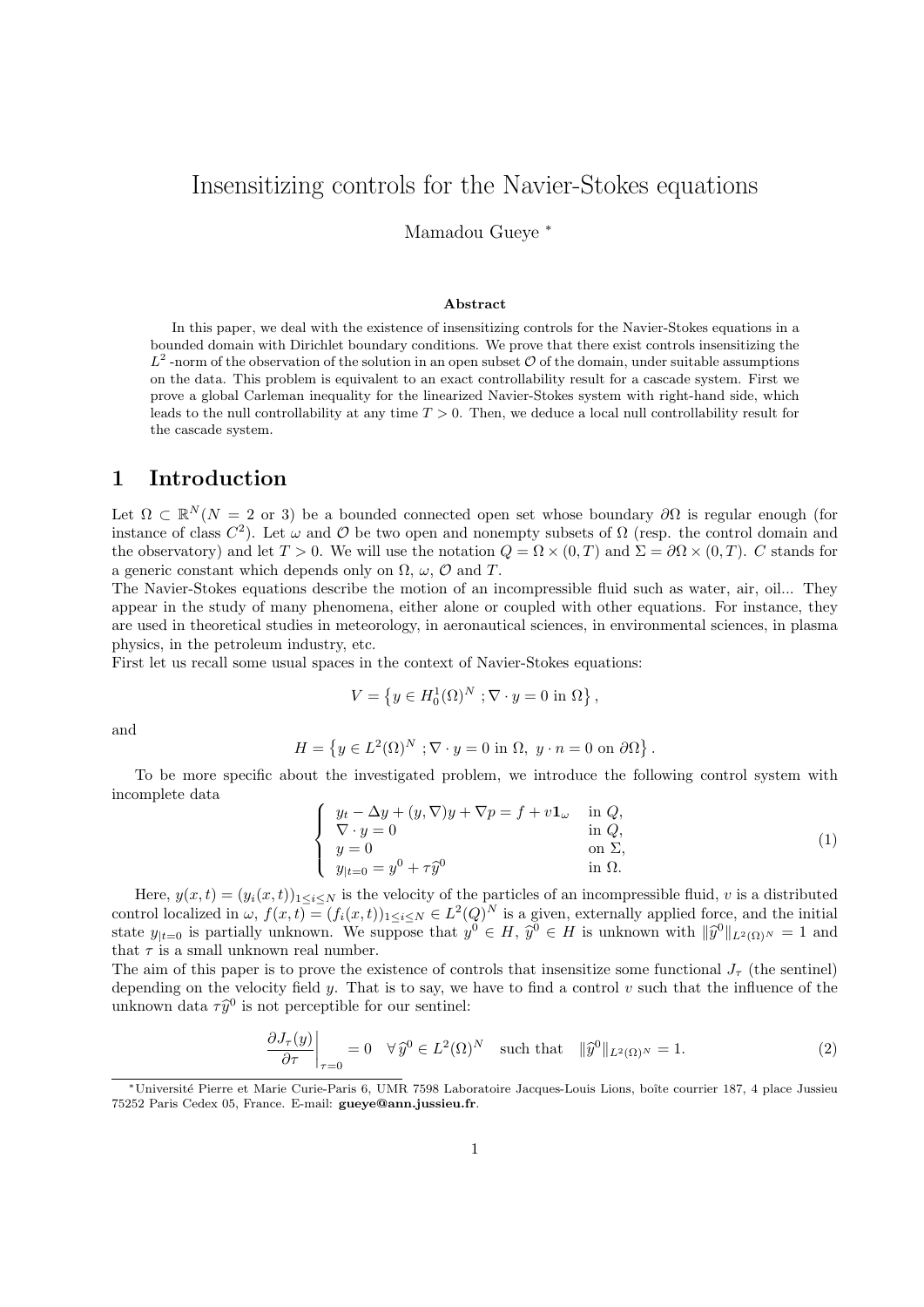# Insensitizing controls for the Navier-Stokes equations

Mamadou Gueye <sup>∗</sup>

#### Abstract

In this paper, we deal with the existence of insensitizing controls for the Navier-Stokes equations in a bounded domain with Dirichlet boundary conditions. We prove that there exist controls insensitizing the  $L^2$ -norm of the observation of the solution in an open subset O of the domain, under suitable assumptions on the data. This problem is equivalent to an exact controllability result for a cascade system. First we prove a global Carleman inequality for the linearized Navier-Stokes system with right-hand side, which leads to the null controllability at any time  $T > 0$ . Then, we deduce a local null controllability result for the cascade system.

### 1 Introduction

Let  $\Omega \subset \mathbb{R}^N(N = 2 \text{ or } 3)$  be a bounded connected open set whose boundary  $\partial\Omega$  is regular enough (for instance of class  $C^2$ ). Let  $\omega$  and  $\mathcal O$  be two open and nonempty subsets of  $\Omega$  (resp. the control domain and the observatory) and let  $T > 0$ . We will use the notation  $Q = \Omega \times (0, T)$  and  $\Sigma = \partial \Omega \times (0, T)$ . C stands for a generic constant which depends only on  $\Omega$ ,  $\omega$ ,  $\mathcal{O}$  and  $T$ .

The Navier-Stokes equations describe the motion of an incompressible fluid such as water, air, oil... They appear in the study of many phenomena, either alone or coupled with other equations. For instance, they are used in theoretical studies in meteorology, in aeronautical sciences, in environmental sciences, in plasma physics, in the petroleum industry, etc.

First let us recall some usual spaces in the context of Navier-Stokes equations:

$$
V = \left\{ y \in H_0^1(\Omega)^N ; \nabla \cdot y = 0 \text{ in } \Omega \right\},\
$$

and

$$
H = \left\{ y \in L^2(\Omega)^N ; \nabla \cdot y = 0 \text{ in } \Omega, y \cdot n = 0 \text{ on } \partial \Omega \right\}
$$

To be more specific about the investigated problem, we introduce the following control system with incomplete data

$$
\begin{cases}\ny_t - \Delta y + (y, \nabla)y + \nabla p = f + v \mathbf{1}_{\omega} & \text{in } Q, \\
\nabla \cdot y = 0 & \text{in } Q, \\
y = 0 & \text{on } \Sigma, \\
y_{|t=0} = y^0 + \tau \hat{y}^0 & \text{in } \Omega.\n\end{cases}
$$
\n(1)

.

Here,  $y(x,t) = (y_i(x,t))_{1 \leq i \leq N}$  is the velocity of the particles of an incompressible fluid, v is a distributed control localized in  $\omega$ ,  $f(x,t) = (f_i(x,t))_{1 \leq i \leq N} \in L^2(Q)^N$  is a given, externally applied force, and the initial state  $y_{|t=0}$  is partially unknown. We suppose that  $y^0 \in H$ ,  $\hat{y}^0 \in H$  is unknown with  $\|\hat{y}^0\|_{L^2(\Omega)} \leq 1$  and that  $\pi$  is a small unknown real number. that  $\tau$  is a small unknown real number.

The aim of this paper is to prove the existence of controls that insensitize some functional  $J_{\tau}$  (the sentinel) depending on the velocity field y. That is to say, we have to find a control  $v$  such that the influence of the unknown data  $\tau \hat{y}^0$  is not perceptible for our sentinel:

$$
\left. \frac{\partial J_{\tau}(y)}{\partial \tau} \right|_{\tau=0} = 0 \quad \forall \,\hat{y}^{0} \in L^{2}(\Omega)^{N} \quad \text{such that} \quad \|\hat{y}^{0}\|_{L^{2}(\Omega)^{N}} = 1. \tag{2}
$$

<sup>∗</sup>Universit´e Pierre et Marie Curie-Paris 6, UMR 7598 Laboratoire Jacques-Louis Lions, boˆıte courrier 187, 4 place Jussieu 75252 Paris Cedex 05, France. E-mail: gueye@ann.jussieu.fr.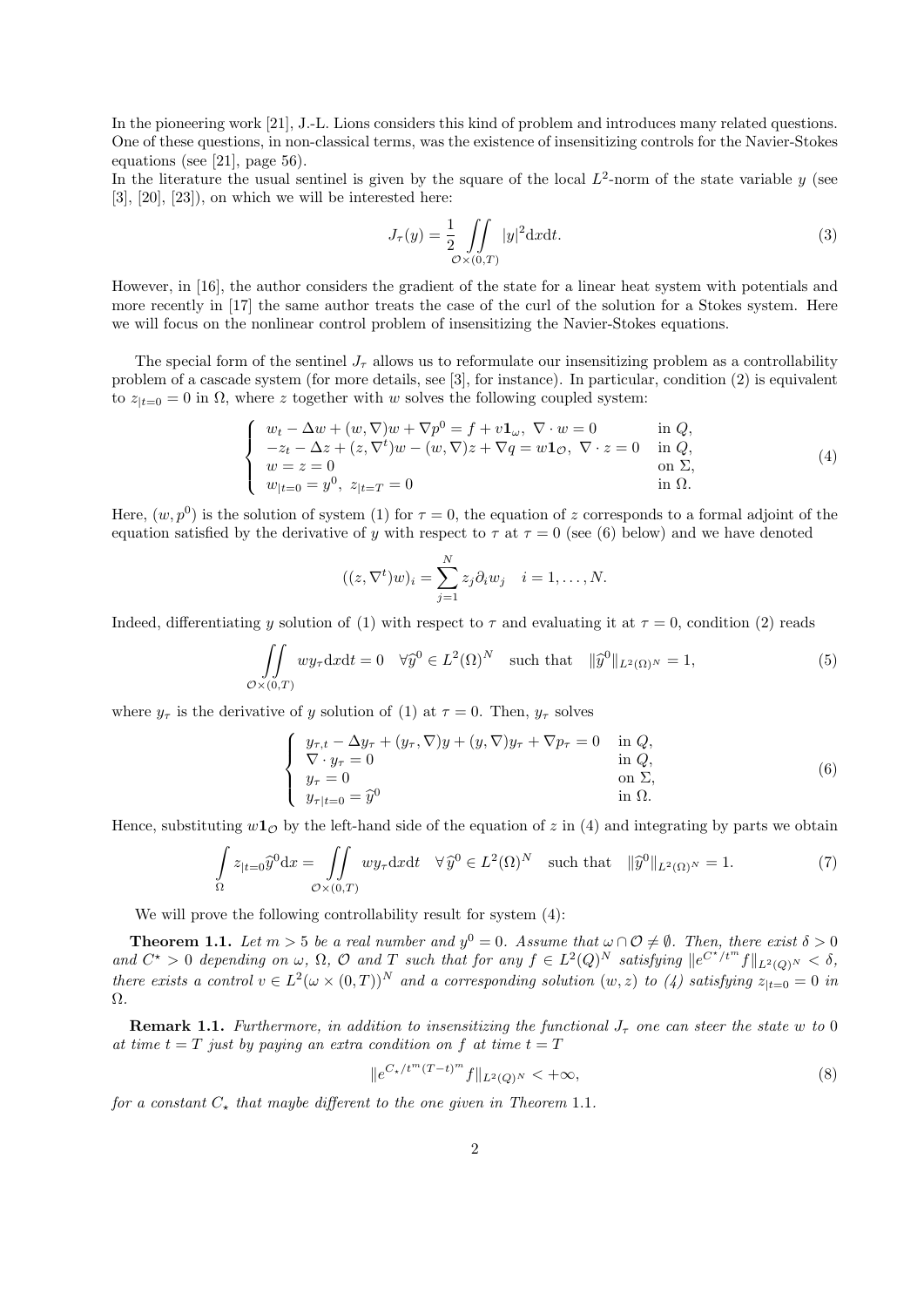In the pioneering work [21], J.-L. Lions considers this kind of problem and introduces many related questions. One of these questions, in non-classical terms, was the existence of insensitizing controls for the Navier-Stokes equations (see [21], page 56).

In the literature the usual sentinel is given by the square of the local  $L^2$ -norm of the state variable y (see  $[3]$ ,  $[20]$ ,  $[23]$ ), on which we will be interested here:

$$
J_{\tau}(y) = \frac{1}{2} \iint\limits_{\mathcal{O} \times (0,T)} |y|^2 dxdt.
$$
 (3)

However, in [16], the author considers the gradient of the state for a linear heat system with potentials and more recently in [17] the same author treats the case of the curl of the solution for a Stokes system. Here we will focus on the nonlinear control problem of insensitizing the Navier-Stokes equations.

The special form of the sentinel  $J_{\tau}$  allows us to reformulate our insensitizing problem as a controllability problem of a cascade system (for more details, see [3], for instance). In particular, condition (2) is equivalent to  $z_{t=0} = 0$  in  $\Omega$ , where z together with w solves the following coupled system:

$$
\begin{cases}\nw_t - \Delta w + (w, \nabla)w + \nabla p^0 = f + v\mathbf{1}_{\omega}, \nabla \cdot w = 0 & \text{in } Q, \\
-z_t - \Delta z + (z, \nabla^t)w - (w, \nabla)z + \nabla q = w\mathbf{1}_{\mathcal{O}}, \nabla \cdot z = 0 & \text{in } Q, \\
w = z = 0 & \text{on } \Sigma, \\
w_{|t=0} = y^0, \ z_{|t=T} = 0 & \text{in } \Omega.\n\end{cases}
$$
\n(4)

Here,  $(w, p^0)$  is the solution of system (1) for  $\tau = 0$ , the equation of z corresponds to a formal adjoint of the equation satisfied by the derivative of y with respect to  $\tau$  at  $\tau = 0$  (see (6) below) and we have denoted

$$
((z, \nabla^t)w)_i = \sum_{j=1}^N z_j \partial_i w_j \quad i = 1, \dots, N.
$$

Indeed, differentiating y solution of (1) with respect to  $\tau$  and evaluating it at  $\tau = 0$ , condition (2) reads

$$
\iint\limits_{\mathcal{O}\times(0,T)} w y_{\tau} \mathrm{d}x \mathrm{d}t = 0 \quad \forall \widehat{y}^{0} \in L^{2}(\Omega)^{N} \quad \text{such that} \quad \|\widehat{y}^{0}\|_{L^{2}(\Omega)^{N}} = 1,
$$
\n(5)

where  $y_{\tau}$  is the derivative of y solution of (1) at  $\tau = 0$ . Then,  $y_{\tau}$  solves

$$
\begin{cases}\n y_{\tau,t} - \Delta y_{\tau} + (y_{\tau}, \nabla)y + (y, \nabla)y_{\tau} + \nabla p_{\tau} = 0 & \text{in } Q, \\
 \nabla \cdot y_{\tau} = 0 & \text{in } Q, \\
 y_{\tau} = 0 & \text{on } \Sigma, \\
 y_{\tau|t=0} = \hat{y}^{0} & \text{in } \Omega.\n\end{cases}
$$
\n(6)

Hence, substituting  $w_1$ <sup>o</sup> by the left-hand side of the equation of z in (4) and integrating by parts we obtain

$$
\int_{\Omega} z_{|t=0} \widehat{y}^0 dx = \iint_{\mathcal{O}\times(0,T)} wy_{\tau} dxdt \quad \forall \widehat{y}^0 \in L^2(\Omega)^N \quad \text{such that} \quad \|\widehat{y}^0\|_{L^2(\Omega)^N} = 1. \tag{7}
$$

We will prove the following controllability result for system  $(4)$ :

**Theorem 1.1.** Let  $m > 5$  be a real number and  $y^0 = 0$ . Assume that  $\omega \cap \mathcal{O} \neq \emptyset$ . Then, there exist  $\delta > 0$ and  $C^* > 0$  depending on  $\omega$ ,  $\Omega$ ,  $\mathcal O$  and  $T$  such that for any  $f \in L^2(Q)^N$  satisfying  $||e^{C^{*}/t^m}f||_{L^2(Q)^N} < \delta$ , there exists a control  $v \in L^2(\omega \times (0,T))^N$  and a corresponding solution  $(w, z)$  to  $(4)$  satisfying  $z_{|t=0} = 0$  in Ω.

**Remark 1.1.** Furthermore, in addition to insensitizing the functional  $J_{\tau}$  one can steer the state w to 0 at time  $t = T$  just by paying an extra condition on f at time  $t = T$ 

$$
||e^{C_{\star}/t^{m}(T-t)^{m}}f||_{L^{2}(Q)^{N}}<+\infty,
$$
\n(8)

for a constant  $C_{\star}$  that maybe different to the one given in Theorem 1.1.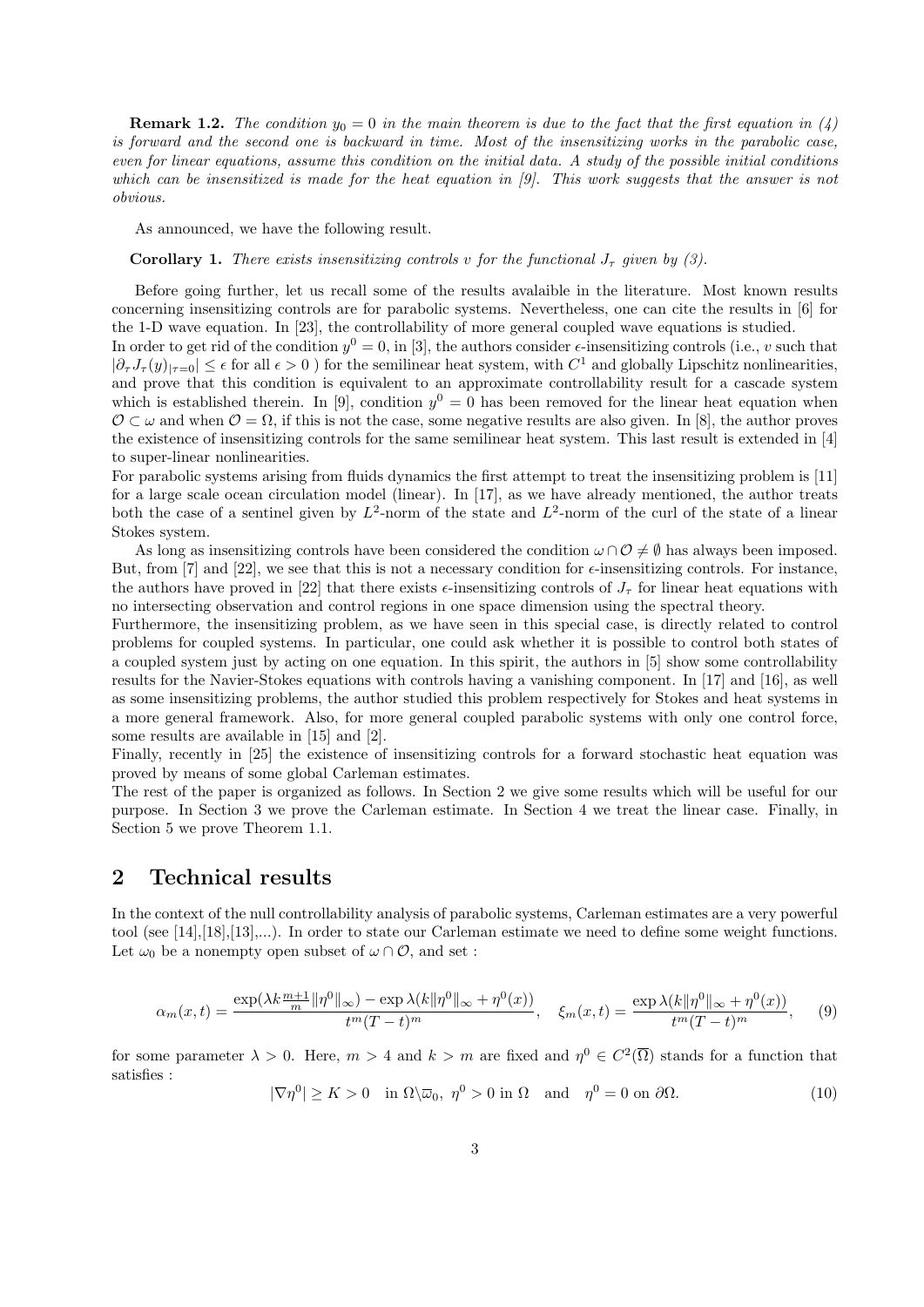**Remark 1.2.** The condition  $y_0 = 0$  in the main theorem is due to the fact that the first equation in (4) is forward and the second one is backward in time. Most of the insensitizing works in the parabolic case, even for linear equations, assume this condition on the initial data. A study of the possible initial conditions which can be insensitized is made for the heat equation in [9]. This work suggests that the answer is not obvious.

As announced, we have the following result.

**Corollary 1.** There exists insensitizing controls v for the functional  $J_{\tau}$  given by (3).

Before going further, let us recall some of the results avalaible in the literature. Most known results concerning insensitizing controls are for parabolic systems. Nevertheless, one can cite the results in [6] for the 1-D wave equation. In [23], the controllability of more general coupled wave equations is studied.

In order to get rid of the condition  $y^0 = 0$ , in [3], the authors consider  $\epsilon$ -insensitizing controls (i.e., v such that  $|\partial_\tau J_\tau(y)|_{\tau=0} \leq \epsilon$  for all  $\epsilon > 0$ ) for the semilinear heat system, with  $C^1$  and globally Lipschitz nonlinearities, and prove that this condition is equivalent to an approximate controllability result for a cascade system which is established therein. In [9], condition  $y^0 = 0$  has been removed for the linear heat equation when  $\mathcal{O} \subset \omega$  and when  $\mathcal{O} = \Omega$ , if this is not the case, some negative results are also given. In [8], the author proves the existence of insensitizing controls for the same semilinear heat system. This last result is extended in [4] to super-linear nonlinearities.

For parabolic systems arising from fluids dynamics the first attempt to treat the insensitizing problem is [11] for a large scale ocean circulation model (linear). In [17], as we have already mentioned, the author treats both the case of a sentinel given by  $L^2$ -norm of the state and  $L^2$ -norm of the curl of the state of a linear Stokes system.

As long as insensitizing controls have been considered the condition  $\omega \cap \mathcal{O} \neq \emptyset$  has always been imposed. But, from [7] and [22], we see that this is not a necessary condition for  $\epsilon$ -insensitizing controls. For instance, the authors have proved in [22] that there exists  $\epsilon$ -insensitizing controls of  $J_{\tau}$  for linear heat equations with no intersecting observation and control regions in one space dimension using the spectral theory.

Furthermore, the insensitizing problem, as we have seen in this special case, is directly related to control problems for coupled systems. In particular, one could ask whether it is possible to control both states of a coupled system just by acting on one equation. In this spirit, the authors in [5] show some controllability results for the Navier-Stokes equations with controls having a vanishing component. In [17] and [16], as well as some insensitizing problems, the author studied this problem respectively for Stokes and heat systems in a more general framework. Also, for more general coupled parabolic systems with only one control force, some results are available in [15] and [2].

Finally, recently in [25] the existence of insensitizing controls for a forward stochastic heat equation was proved by means of some global Carleman estimates.

The rest of the paper is organized as follows. In Section 2 we give some results which will be useful for our purpose. In Section 3 we prove the Carleman estimate. In Section 4 we treat the linear case. Finally, in Section 5 we prove Theorem 1.1.

### 2 Technical results

In the context of the null controllability analysis of parabolic systems, Carleman estimates are a very powerful tool (see [14],[18],[13],...). In order to state our Carleman estimate we need to define some weight functions. Let  $\omega_0$  be a nonempty open subset of  $\omega \cap \mathcal{O}$ , and set :

$$
\alpha_m(x,t) = \frac{\exp(\lambda k \frac{m+1}{m} || \eta^0 ||_\infty) - \exp \lambda(k || \eta^0 ||_\infty + \eta^0(x))}{t^m (T-t)^m}, \quad \xi_m(x,t) = \frac{\exp \lambda(k || \eta^0 ||_\infty + \eta^0(x))}{t^m (T-t)^m}, \quad (9)
$$

for some parameter  $\lambda > 0$ . Here,  $m > 4$  and  $k > m$  are fixed and  $\eta^0 \in C^2(\overline{\Omega})$  stands for a function that satisfies :

 $|\nabla \eta^0| \ge K > 0$  in  $\Omega \setminus \overline{\omega}_0$ ,  $\eta^0 > 0$  in  $\Omega$  and  $\eta^0 = 0$  on  $\partial \Omega$ . (10)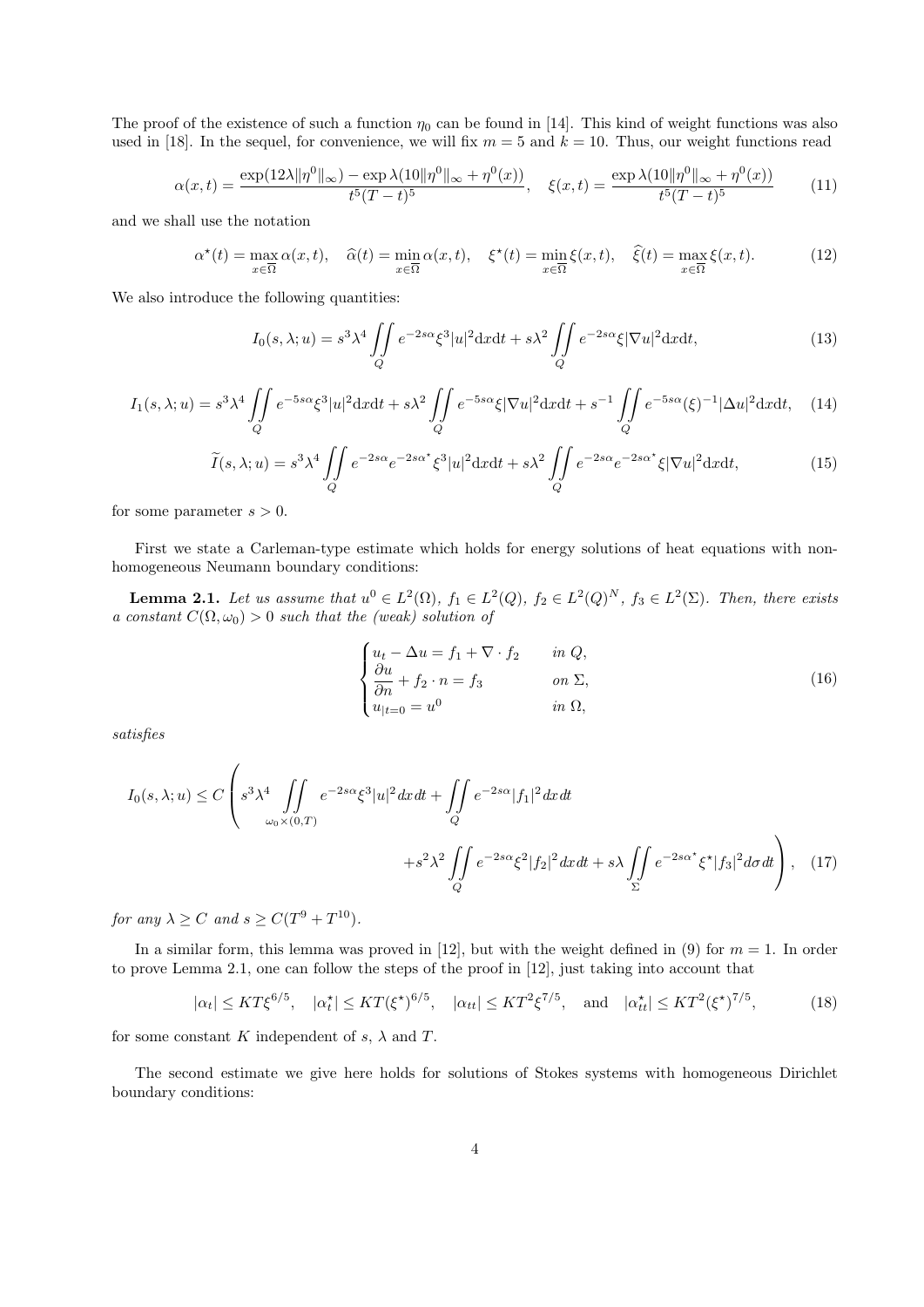The proof of the existence of such a function  $\eta_0$  can be found in [14]. This kind of weight functions was also used in [18]. In the sequel, for convenience, we will fix  $m = 5$  and  $k = 10$ . Thus, our weight functions read

$$
\alpha(x,t) = \frac{\exp(12\lambda \|\eta^0\|_{\infty}) - \exp\lambda(10\|\eta^0\|_{\infty} + \eta^0(x))}{t^5(T-t)^5}, \quad \xi(x,t) = \frac{\exp\lambda(10\|\eta^0\|_{\infty} + \eta^0(x))}{t^5(T-t)^5}
$$
(11)

and we shall use the notation

α

$$
\alpha^*(t) = \max_{x \in \overline{\Omega}} \alpha(x, t), \quad \widehat{\alpha}(t) = \min_{x \in \overline{\Omega}} \alpha(x, t), \quad \xi^*(t) = \min_{x \in \overline{\Omega}} \xi(x, t), \quad \widehat{\xi}(t) = \max_{x \in \overline{\Omega}} \xi(x, t). \tag{12}
$$

We also introduce the following quantities:

$$
I_0(s,\lambda;u) = s^3 \lambda^4 \iint\limits_Q e^{-2s\alpha} \xi^3 |u|^2 dx dt + s\lambda^2 \iint\limits_Q e^{-2s\alpha} \xi |\nabla u|^2 dx dt, \tag{13}
$$

$$
I_1(s,\lambda;u) = s^3\lambda^4 \iint\limits_Q e^{-5s\alpha} \xi^3 |u|^2 dxdt + s\lambda^2 \iint\limits_Q e^{-5s\alpha} \xi |\nabla u|^2 dxdt + s^{-1} \iint\limits_Q e^{-5s\alpha} (\xi)^{-1} |\Delta u|^2 dxdt, \quad (14)
$$

$$
\widetilde{I}(s,\lambda;u) = s^3 \lambda^4 \iint\limits_{Q} e^{-2s\alpha} e^{-2s\alpha^*} \xi^3 |u|^2 dx dt + s\lambda^2 \iint\limits_{Q} e^{-2s\alpha} e^{-2s\alpha^*} \xi |\nabla u|^2 dx dt, \tag{15}
$$

for some parameter  $s > 0$ .

First we state a Carleman-type estimate which holds for energy solutions of heat equations with nonhomogeneous Neumann boundary conditions:

**Lemma 2.1.** Let us assume that  $u^0 \in L^2(\Omega)$ ,  $f_1 \in L^2(Q)$ ,  $f_2 \in L^2(Q)^N$ ,  $f_3 \in L^2(\Sigma)$ . Then, there exists a constant  $C(\Omega, \omega_0) > 0$  such that the (weak) solution of

$$
\begin{cases}\n u_t - \Delta u = f_1 + \nabla \cdot f_2 & \text{in } Q, \\
 \frac{\partial u}{\partial n} + f_2 \cdot n = f_3 & \text{on } \Sigma, \\
 u_{|t=0} = u^0 & \text{in } \Omega,\n\end{cases}
$$
\n(16)

satisfies

$$
I_0(s,\lambda;u) \le C \left( s^3 \lambda^4 \iint\limits_{\omega_0 \times (0,T)} e^{-2s\alpha} \xi^3 |u|^2 dx dt + \iint\limits_Q e^{-2s\alpha} |f_1|^2 dx dt + s \lambda \iint\limits_{\Sigma} e^{-2s\alpha} \xi^2 |f_2|^2 dx dt + s \lambda \iint\limits_{\Sigma} e^{-2s\alpha} \xi^* |f_3|^2 d\sigma dt \right), \quad (17)
$$

for any  $\lambda \ge C$  and  $s \ge C(T^9 + T^{10})$ .

In a similar form, this lemma was proved in [12], but with the weight defined in (9) for  $m = 1$ . In order to prove Lemma 2.1, one can follow the steps of the proof in [12], just taking into account that

$$
|\alpha_t| \le KT \xi^{6/5}, \quad |\alpha_t^*| \le KT (\xi^*)^{6/5}, \quad |\alpha_{tt}| \le KT^2 \xi^{7/5}, \quad \text{and} \quad |\alpha_{tt}^*| \le KT^2 (\xi^*)^{7/5},
$$
 (18)

for some constant K independent of  $s$ ,  $\lambda$  and T.

The second estimate we give here holds for solutions of Stokes systems with homogeneous Dirichlet boundary conditions: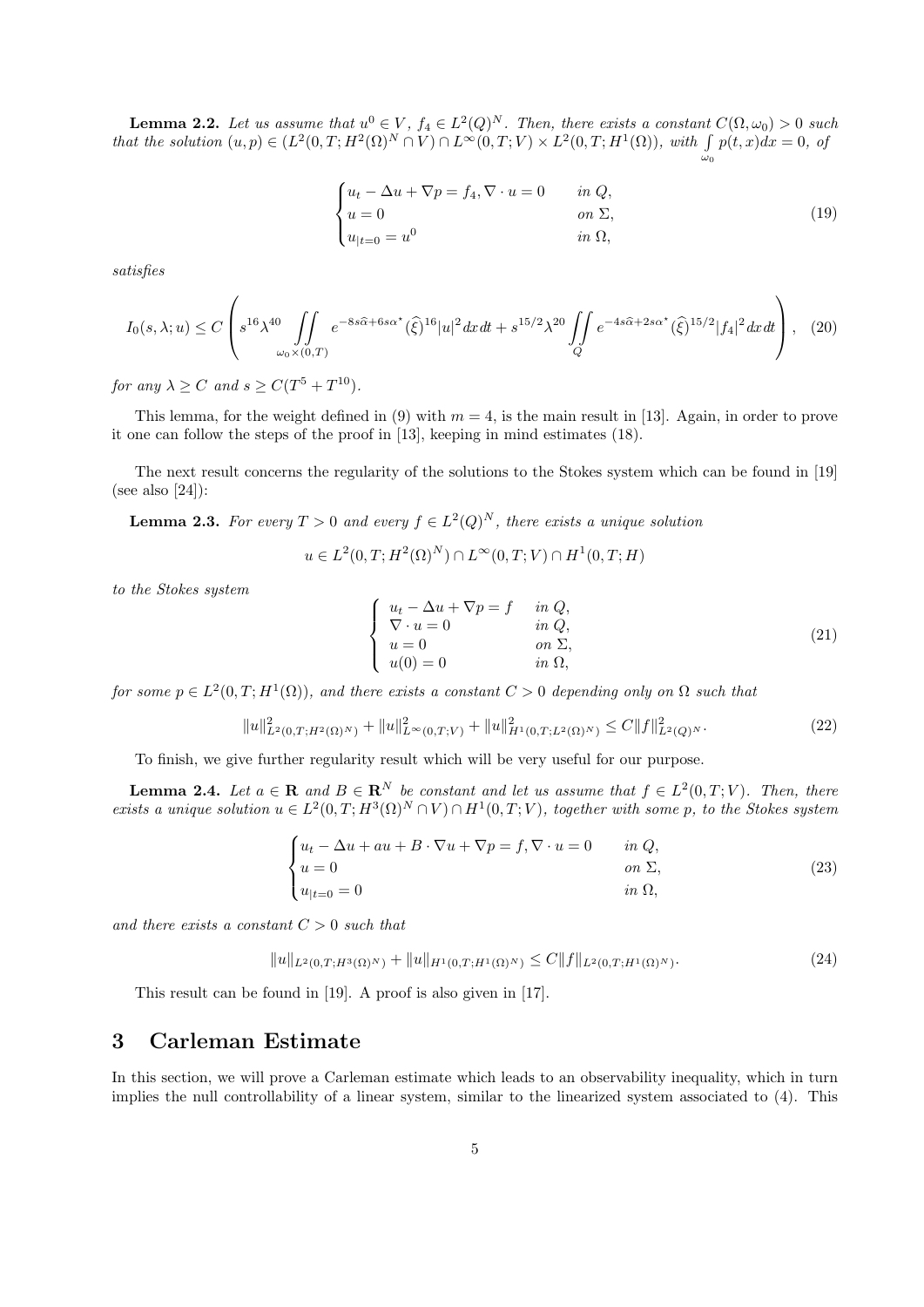**Lemma 2.2.** Let us assume that  $u^0 \in V$ ,  $f_4 \in L^2(Q)^N$ . Then, there exists a constant  $C(\Omega, \omega_0) > 0$  such that the solution  $(u, p) \in (L^2(0,T; H^2(\Omega)^N \cap V) \cap L^{\infty}(0,T; V) \times L^2(0,T; H^1(\Omega)),$  with  $\int p(t,x)dx = 0$ , of  $\omega_0$ 

$$
\begin{cases} u_t - \Delta u + \nabla p = f_4, \nabla \cdot u = 0 & \text{in } Q, \\ u = 0 & \text{on } \Sigma, \\ u_{|t=0} = u^0 & \text{in } \Omega, \end{cases}
$$
 (19)

satisfies

$$
I_0(s,\lambda;u) \le C \left( s^{16} \lambda^{40} \iint\limits_{\omega_0 \times (0,T)} e^{-8s\widehat{\alpha} + 6s\alpha^*} (\widehat{\xi})^{16} |u|^2 dx dt + s^{15/2} \lambda^{20} \iint\limits_Q e^{-4s\widehat{\alpha} + 2s\alpha^*} (\widehat{\xi})^{15/2} |f_4|^2 dx dt \right), \tag{20}
$$

for any  $\lambda \ge C$  and  $s \ge C(T^5 + T^{10})$ .

This lemma, for the weight defined in (9) with  $m = 4$ , is the main result in [13]. Again, in order to prove it one can follow the steps of the proof in [13], keeping in mind estimates (18).

The next result concerns the regularity of the solutions to the Stokes system which can be found in [19] (see also [24]):

**Lemma 2.3.** For every  $T > 0$  and every  $f \in L^2(Q)^N$ , there exists a unique solution

 $u \in L^2(0,T;H^2(\Omega)^N) \cap L^{\infty}(0,T;V) \cap H^1(0,T;H)$ 

to the Stokes system

$$
\begin{cases}\n u_t - \Delta u + \nabla p = f & \text{in } Q, \\
 \nabla \cdot u = 0 & \text{in } Q, \\
 u = 0 & \text{on } \Sigma, \\
 u(0) = 0 & \text{in } \Omega,\n\end{cases}
$$
\n(21)

for some  $p \in L^2(0,T;H^1(\Omega))$ , and there exists a constant  $C > 0$  depending only on  $\Omega$  such that

$$
||u||_{L^{2}(0,T;H^{2}(\Omega)^{N})}^{2} + ||u||_{L^{\infty}(0,T;V)}^{2} + ||u||_{H^{1}(0,T;L^{2}(\Omega)^{N})}^{2} \leq C||f||_{L^{2}(Q)^{N}}^{2}.
$$
\n(22)

To finish, we give further regularity result which will be very useful for our purpose.

**Lemma 2.4.** Let  $a \in \mathbb{R}$  and  $B \in \mathbb{R}^N$  be constant and let us assume that  $f \in L^2(0,T;V)$ . Then, there exists a unique solution  $u \in L^2(0,T;H^3(\Omega)^N \cap V) \cap H^1(0,T;V)$ , together with some p, to the Stokes system

$$
\begin{cases}\n u_t - \Delta u + au + B \cdot \nabla u + \nabla p = f, \nabla \cdot u = 0 & \text{in } Q, \\
 u = 0 & \text{on } \Sigma, \\
 u_{|t=0} = 0 & \text{in } \Omega,\n\end{cases}
$$
\n(23)

and there exists a constant  $C > 0$  such that

$$
||u||_{L^{2}(0,T;H^{3}(\Omega)^{N})} + ||u||_{H^{1}(0,T;H^{1}(\Omega)^{N})} \leq C||f||_{L^{2}(0,T;H^{1}(\Omega)^{N})}.
$$
\n(24)

This result can be found in [19]. A proof is also given in [17].

### 3 Carleman Estimate

In this section, we will prove a Carleman estimate which leads to an observability inequality, which in turn implies the null controllability of a linear system, similar to the linearized system associated to (4). This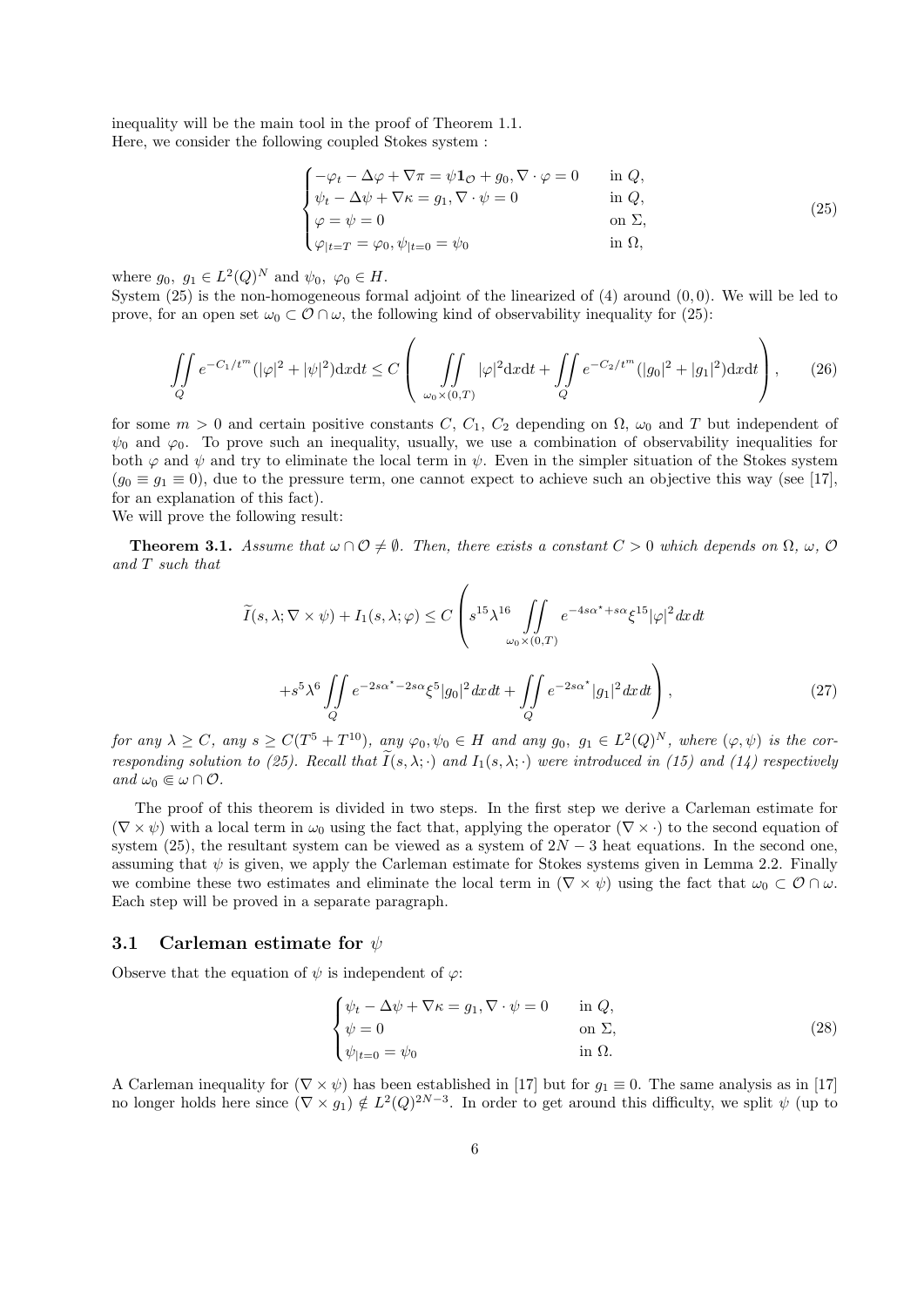inequality will be the main tool in the proof of Theorem 1.1. Here, we consider the following coupled Stokes system :

$$
\begin{cases}\n-\varphi_t - \Delta \varphi + \nabla \pi = \psi \mathbf{1}_{\mathcal{O}} + g_0, \nabla \cdot \varphi = 0 & \text{in } Q, \\
\psi_t - \Delta \psi + \nabla \kappa = g_1, \nabla \cdot \psi = 0 & \text{in } Q, \\
\varphi = \psi = 0 & \text{on } \Sigma, \\
\varphi|_{t=T} = \varphi_0, \psi_{|t=0} = \psi_0 & \text{in } \Omega,\n\end{cases}
$$
\n(25)

where  $g_0, g_1 \in L^2(Q)^N$  and  $\psi_0, \varphi_0 \in H$ .

System (25) is the non-homogeneous formal adjoint of the linearized of (4) around (0, 0). We will be led to prove, for an open set  $\omega_0 \subset \mathcal{O} \cap \omega$ , the following kind of observability inequality for (25):

$$
\iint\limits_{Q} e^{-C_1/t^m} (|\varphi|^2 + |\psi|^2) \mathrm{d}x \mathrm{d}t \le C \left( \iint\limits_{\omega_0 \times (0,T)} |\varphi|^2 \mathrm{d}x \mathrm{d}t + \iint\limits_{Q} e^{-C_2/t^m} (|g_0|^2 + |g_1|^2) \mathrm{d}x \mathrm{d}t \right), \tag{26}
$$

for some  $m > 0$  and certain positive constants C, C<sub>1</sub>, C<sub>2</sub> depending on  $\Omega$ ,  $\omega_0$  and T but independent of  $\psi_0$  and  $\varphi_0$ . To prove such an inequality, usually, we use a combination of observability inequalities for both  $\varphi$  and  $\psi$  and try to eliminate the local term in  $\psi$ . Even in the simpler situation of the Stokes system  $(g_0 \equiv g_1 \equiv 0)$ , due to the pressure term, one cannot expect to achieve such an objective this way (see [17], for an explanation of this fact).

We will prove the following result:

**Theorem 3.1.** Assume that  $\omega \cap \mathcal{O} \neq \emptyset$ . Then, there exists a constant  $C > 0$  which depends on  $\Omega$ ,  $\omega$ ,  $\mathcal{O}$ and T such that

$$
\widetilde{I}(s,\lambda;\nabla \times \psi) + I_1(s,\lambda;\varphi) \le C \left( s^{15} \lambda^{16} \iint\limits_{\omega_0 \times (0,T)} e^{-4s\alpha^* + s\alpha} \xi^{15} |\varphi|^2 dx dt \right. \\
\left. + s^5 \lambda^6 \iint\limits_Q e^{-2s\alpha^* - 2s\alpha} \xi^5 |g_0|^2 dx dt + \iint\limits_Q e^{-2s\alpha^*} |g_1|^2 dx dt \right),
$$
\n(27)

for any  $\lambda \geq C$ , any  $s \geq C(T^5 + T^{10})$ , any  $\varphi_0, \psi_0 \in H$  and any  $g_0, g_1 \in L^2(Q)^N$ , where  $(\varphi, \psi)$  is the corresponding solution to (25). Recall that  $\widetilde{I}(s,\lambda;\cdot)$  and  $I_1(s,\lambda;\cdot)$  were introduced in (15) and (14) respectively and  $\omega_0 \in \omega \cap \mathcal{O}$ .

The proof of this theorem is divided in two steps. In the first step we derive a Carleman estimate for  $(\nabla \times \psi)$  with a local term in  $\omega_0$  using the fact that, applying the operator  $(\nabla \times \cdot)$  to the second equation of system (25), the resultant system can be viewed as a system of  $2N-3$  heat equations. In the second one, assuming that  $\psi$  is given, we apply the Carleman estimate for Stokes systems given in Lemma 2.2. Finally we combine these two estimates and eliminate the local term in  $(\nabla \times \psi)$  using the fact that  $\omega_0 \subset \mathcal{O} \cap \omega$ . Each step will be proved in a separate paragraph.

#### 3.1 Carleman estimate for  $\psi$

Observe that the equation of  $\psi$  is independent of  $\varphi$ :

$$
\begin{cases}\n\psi_t - \Delta \psi + \nabla \kappa = g_1, \nabla \cdot \psi = 0 & \text{in } Q, \\
\psi = 0 & \text{on } \Sigma, \\
\psi_{|t=0} = \psi_0 & \text{in } \Omega.\n\end{cases}
$$
\n(28)

A Carleman inequality for  $(\nabla \times \psi)$  has been established in [17] but for  $g_1 \equiv 0$ . The same analysis as in [17] no longer holds here since  $(\nabla \times g_1) \notin L^2(Q)^{2N-3}$ . In order to get around this difficulty, we split  $\psi$  (up to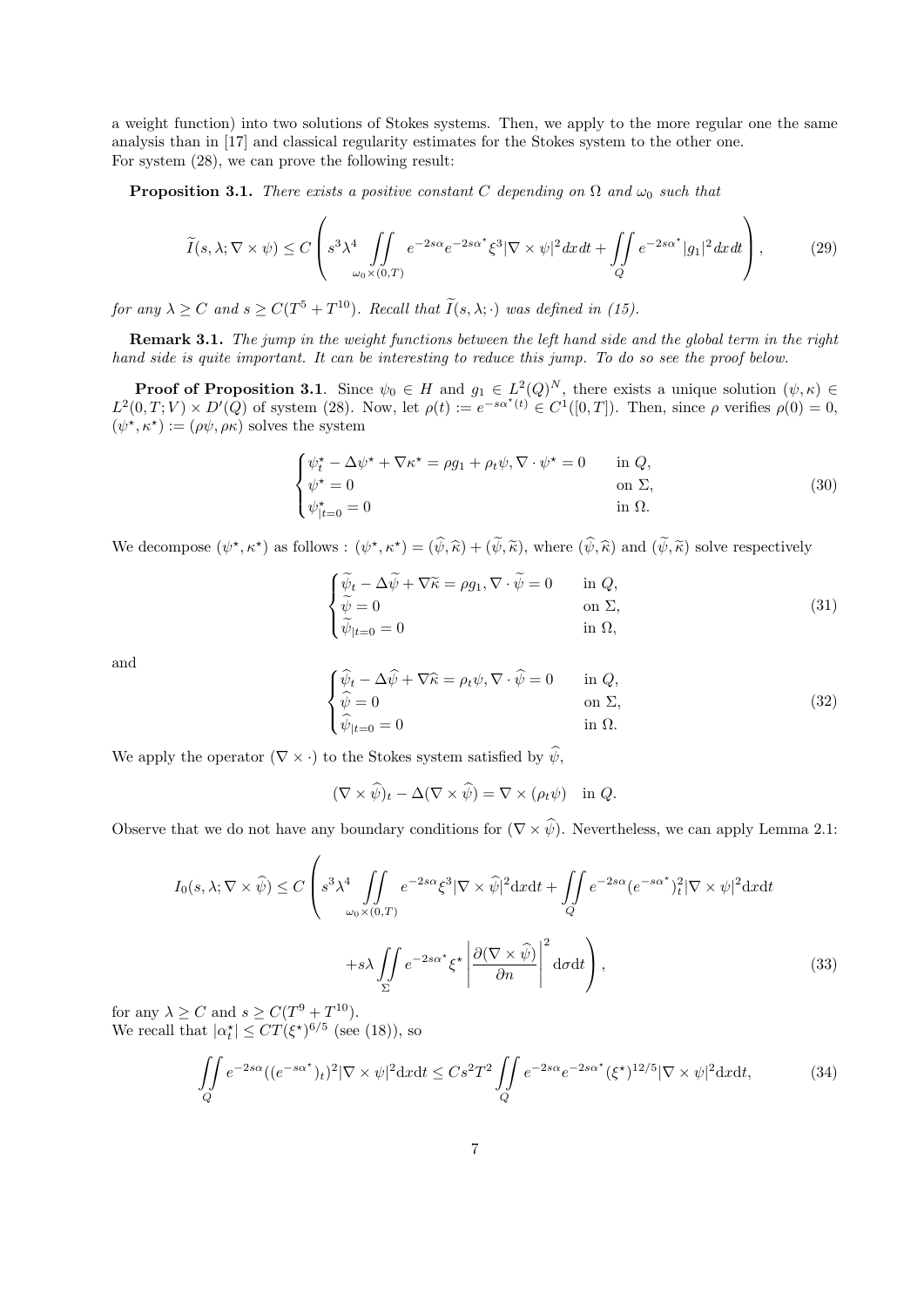a weight function) into two solutions of Stokes systems. Then, we apply to the more regular one the same analysis than in [17] and classical regularity estimates for the Stokes system to the other one. For system (28), we can prove the following result:

**Proposition 3.1.** There exists a positive constant C depending on  $\Omega$  and  $\omega_0$  such that

$$
\widetilde{I}(s,\lambda;\nabla \times \psi) \le C \left( s^3 \lambda^4 \iint\limits_{\omega_0 \times (0,T)} e^{-2s\alpha} e^{-2s\alpha^*} \xi^3 |\nabla \times \psi|^2 dx dt + \iint\limits_Q e^{-2s\alpha^*} |g_1|^2 dx dt \right),
$$
\n(29)

for any  $\lambda \ge C$  and  $s \ge C(T^5 + T^{10})$ . Recall that  $\tilde{I}(s, \lambda; \cdot)$  was defined in (15).

Remark 3.1. The jump in the weight functions between the left hand side and the global term in the right hand side is quite important. It can be interesting to reduce this jump. To do so see the proof below.

**Proof of Proposition 3.1.** Since  $\psi_0 \in H$  and  $g_1 \in L^2(Q)^N$ , there exists a unique solution  $(\psi, \kappa) \in$  $L^2(0,T;V) \times D'(Q)$  of system (28). Now, let  $\rho(t) := e^{-s\alpha^*(t)} \in C^1([0,T])$ . Then, since  $\rho$  verifies  $\rho(0) = 0$ ,  $(\psi^*, \kappa^*) := (\rho \psi, \rho \kappa)$  solves the system

$$
\begin{cases}\n\psi_t^* - \Delta \psi^* + \nabla \kappa^* = \rho g_1 + \rho_t \psi, \nabla \cdot \psi^* = 0 & \text{in } Q, \\
\psi^* = 0 & \text{on } \Sigma, \\
\psi_{|t=0}^* = 0 & \text{in } \Omega.\n\end{cases}
$$
\n(30)

We decompose  $(\psi^*, \kappa^*)$  as follows :  $(\psi^*, \kappa^*) = (\hat{\psi}, \hat{\kappa}) + (\tilde{\psi}, \tilde{\kappa})$ , where  $(\hat{\psi}, \hat{\kappa})$  and  $(\tilde{\psi}, \tilde{\kappa})$  solve respectively

$$
\begin{cases}\n\widetilde{\psi}_t - \Delta \widetilde{\psi} + \nabla \widetilde{\kappa} = \rho g_1, \nabla \cdot \widetilde{\psi} = 0 & \text{in } Q, \\
\widetilde{\psi} = 0 & \text{on } \Sigma, \\
\widetilde{\psi}_{|t=0} = 0 & \text{in } \Omega,\n\end{cases}
$$
\n(31)

and

$$
\begin{cases}\n\widehat{\psi}_t - \Delta \widehat{\psi} + \nabla \widehat{\kappa} = \rho_t \psi, \nabla \cdot \widehat{\psi} = 0 & \text{in } Q, \\
\widehat{\psi} = 0 & \text{on } \Sigma, \\
\widehat{\psi}_{|t=0} = 0 & \text{in } \Omega.\n\end{cases}
$$
\n(32)

We apply the operator  $(\nabla \times \cdot)$  to the Stokes system satisfied by  $\hat{\psi}$ ,

$$
(\nabla \times \widehat{\psi})_t - \Delta(\nabla \times \widehat{\psi}) = \nabla \times (\rho_t \psi) \quad \text{in } Q.
$$

Observe that we do not have any boundary conditions for  $(\nabla \times \hat{\psi})$ . Nevertheless, we can apply Lemma 2.1:

$$
I_0(s,\lambda;\nabla \times \widehat{\psi}) \le C \left( s^3 \lambda^4 \iint\limits_{\omega_0 \times (0,T)} e^{-2s\alpha} \xi^3 |\nabla \times \widehat{\psi}|^2 \mathrm{d}x \mathrm{d}t + \iint\limits_Q e^{-2s\alpha} (e^{-s\alpha^*})_t^2 |\nabla \times \psi|^2 \mathrm{d}x \mathrm{d}t + s\lambda \iint\limits_{\Sigma} e^{-2s\alpha^*} \xi^* \left| \frac{\partial (\nabla \times \widehat{\psi})}{\partial n} \right|^2 \mathrm{d}\sigma \mathrm{d}t \right),
$$
\n(33)

for any  $\lambda \ge C$  and  $s \ge C(T^9 + T^{10})$ . We recall that  $|\alpha_t^{\star}| \leq CT(\xi^{\star})^{6/5}$  (see (18)), so

$$
\iint\limits_{Q} e^{-2s\alpha} ((e^{-s\alpha^*})_t)^2 |\nabla \times \psi|^2 \mathrm{d}x \mathrm{d}t \leq Cs^2 T^2 \iint\limits_{Q} e^{-2s\alpha} e^{-2s\alpha^*} (\xi^*)^{12/5} |\nabla \times \psi|^2 \mathrm{d}x \mathrm{d}t,\tag{34}
$$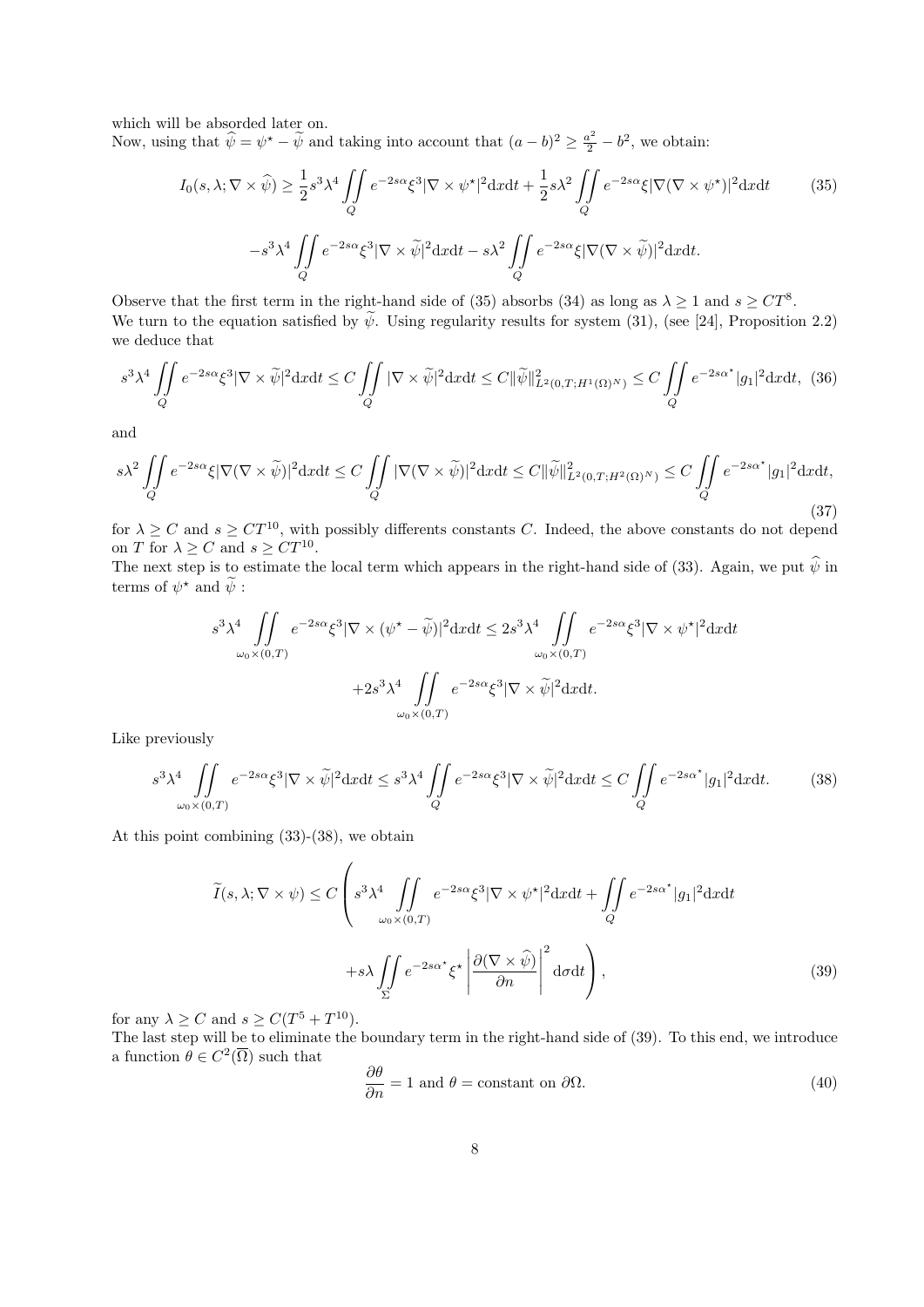which will be absorded later on.

Now, using that  $\hat{\psi} = \psi^* - \tilde{\psi}$  and taking into account that  $(a - b)^2 \ge \frac{a^2}{2} - b^2$ , we obtain:

$$
I_0(s,\lambda;\nabla \times \widehat{\psi}) \ge \frac{1}{2}s^3\lambda^4 \iint_Q e^{-2s\alpha}\xi^3 |\nabla \times \psi^*|^2 dxdt + \frac{1}{2}s\lambda^2 \iint_Q e^{-2s\alpha}\xi |\nabla(\nabla \times \psi^*)|^2 dxdt \qquad (35)
$$

$$
-s^3\lambda^4 \iint_Q e^{-2s\alpha}\xi^3 |\nabla \times \widetilde{\psi}|^2 dxdt - s\lambda^2 \iint_Q e^{-2s\alpha}\xi |\nabla(\nabla \times \widetilde{\psi})|^2 dxdt.
$$

Observe that the first term in the right-hand side of (35) absorbs (34) as long as  $\lambda \geq 1$  and  $s \geq CT^8$ . We turn to the equation satisfied by  $\tilde{\psi}$ . Using regularity results for system (31), (see [24], Proposition 2.2) we deduce that

$$
s^3 \lambda^4 \iint\limits_Q e^{-2s\alpha} \xi^3 |\nabla \times \widetilde{\psi}|^2 dx dt \le C \iint\limits_Q |\nabla \times \widetilde{\psi}|^2 dx dt \le C \|\widetilde{\psi}\|_{L^2(0,T;H^1(\Omega)^N)}^2 \le C \iint\limits_Q e^{-2s\alpha^*} |g_1|^2 dx dt, \tag{36}
$$

and

$$
s\lambda^2 \iint\limits_{Q} e^{-2s\alpha} \xi |\nabla(\nabla \times \tilde{\psi})|^2 dxdt \le C \iint\limits_{Q} |\nabla(\nabla \times \tilde{\psi})|^2 dxdt \le C \|\tilde{\psi}\|_{L^2(0,T;H^2(\Omega)^N)}^2 \le C \iint\limits_{Q} e^{-2s\alpha^*} |g_1|^2 dxdt,
$$
\n(37)

for  $\lambda \geq C$  and  $s \geq C T^{10}$ , with possibly differents constants C. Indeed, the above constants do not depend on T for  $\lambda \geq C$  and  $s \geq CT^{10}$ .

The next step is to estimate the local term which appears in the right-hand side of (33). Again, we put  $\hat{\psi}$  in terms of  $\psi^*$  and  $\widetilde{\psi}$  :

$$
s^{3} \lambda^{4} \iint_{\omega_{0} \times (0,T)} e^{-2s\alpha} \xi^{3} |\nabla \times (\psi^{\star} - \widetilde{\psi})|^{2} dx dt \leq 2s^{3} \lambda^{4} \iint_{\omega_{0} \times (0,T)} e^{-2s\alpha} \xi^{3} |\nabla \times \psi^{\star}|^{2} dx dt
$$

$$
+ 2s^{3} \lambda^{4} \iint_{\omega_{0} \times (0,T)} e^{-2s\alpha} \xi^{3} |\nabla \times \widetilde{\psi}|^{2} dx dt.
$$

Like previously

$$
s^3 \lambda^4 \iint\limits_{\omega_0 \times (0,T)} e^{-2s\alpha} \xi^3 |\nabla \times \tilde{\psi}|^2 dx dt \leq s^3 \lambda^4 \iint\limits_Q e^{-2s\alpha} \xi^3 |\nabla \times \tilde{\psi}|^2 dx dt \leq C \iint\limits_Q e^{-2s\alpha^*} |g_1|^2 dx dt. \tag{38}
$$

At this point combining (33)-(38), we obtain

$$
\widetilde{I}(s,\lambda;\nabla \times \psi) \le C \left( s^3 \lambda^4 \iint\limits_{\omega_0 \times (0,T)} e^{-2s\alpha} \xi^3 |\nabla \times \psi^*|^2 \mathrm{d}x \mathrm{d}t + \iint\limits_Q e^{-2s\alpha^*} |g_1|^2 \mathrm{d}x \mathrm{d}t \n+ s\lambda \iint\limits_{\Sigma} e^{-2s\alpha^*} \xi^* \left| \frac{\partial (\nabla \times \widehat{\psi})}{\partial n} \right|^2 \mathrm{d}\sigma \mathrm{d}t \right),
$$
\n(39)

for any  $\lambda \ge C$  and  $s \ge C(T^5 + T^{10})$ .

The last step will be to eliminate the boundary term in the right-hand side of (39). To this end, we introduce a function  $\theta \in C^2(\overline{\Omega})$  such that

$$
\frac{\partial \theta}{\partial n} = 1 \text{ and } \theta = \text{constant on } \partial \Omega.
$$
 (40)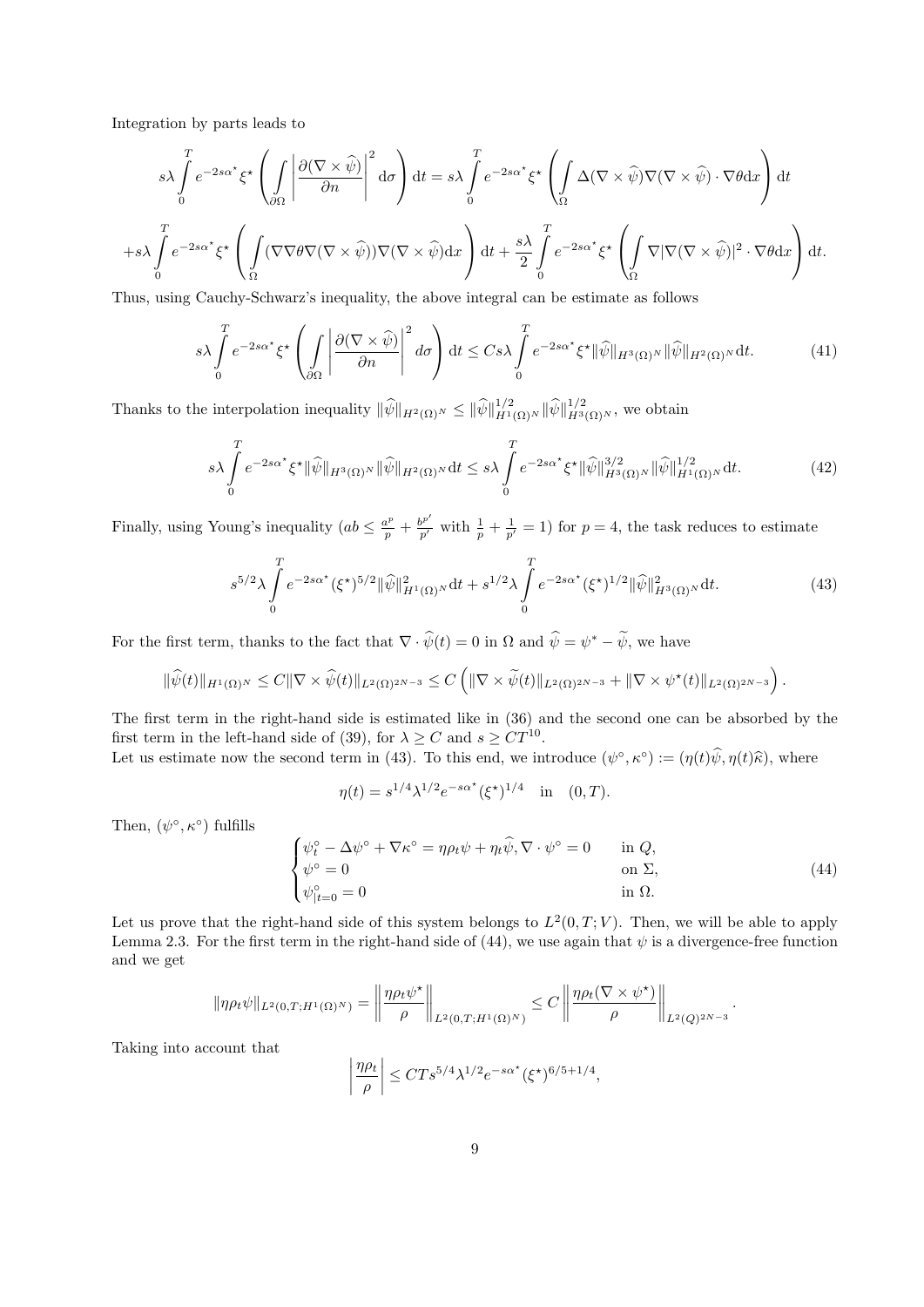Integration by parts leads to

 $+$ s

$$
s\lambda \int_{0}^{T} e^{-2s\alpha^{*}} \xi^{*} \left( \int_{\partial\Omega} \left| \frac{\partial(\nabla \times \widehat{\psi})}{\partial n} \right|^{2} d\sigma \right) dt = s\lambda \int_{0}^{T} e^{-2s\alpha^{*}} \xi^{*} \left( \int_{\Omega} \Delta(\nabla \times \widehat{\psi}) \nabla(\nabla \times \widehat{\psi}) \cdot \nabla \theta dx \right) dt
$$

$$
\lambda \int_{0}^{T} e^{-2s\alpha^{*}} \xi^{*} \left( \int_{\Omega} (\nabla \nabla \theta \nabla(\nabla \times \widehat{\psi})) \nabla(\nabla \times \widehat{\psi}) dx \right) dt + \frac{s\lambda}{2} \int_{0}^{T} e^{-2s\alpha^{*}} \xi^{*} \left( \int_{\Omega} \nabla |\nabla(\nabla \times \widehat{\psi})|^{2} \cdot \nabla \theta dx \right) dt.
$$

Thus, using Cauchy-Schwarz's inequality, the above integral can be estimate as follows

$$
s\lambda \int_{0}^{T} e^{-2s\alpha^{*}} \xi^{*} \left( \int_{\partial\Omega} \left| \frac{\partial(\nabla \times \hat{\psi})}{\partial n} \right|^{2} d\sigma \right) dt \leq C s\lambda \int_{0}^{T} e^{-2s\alpha^{*}} \xi^{*} \|\hat{\psi}\|_{H^{3}(\Omega)^{N}} \|\hat{\psi}\|_{H^{2}(\Omega)^{N}} dt.
$$
 (41)

Thanks to the interpolation inequality  $\|\widehat{\psi}\|_{H^2(\Omega)^N} \leq \|\widehat{\psi}\|_{H^1(\Omega)^N}^{1/2} \|\widehat{\psi}\|_{H^3(\Omega)^N}^{1/2}$ , we obtain

$$
s\lambda \int_{0}^{T} e^{-2s\alpha^{\star}} \xi^{\star} \|\widehat{\psi}\|_{H^{3}(\Omega)^{N}} \|\widehat{\psi}\|_{H^{2}(\Omega)^{N}} \mathrm{d}t \leq s\lambda \int_{0}^{T} e^{-2s\alpha^{\star}} \xi^{\star} \|\widehat{\psi}\|_{H^{3}(\Omega)^{N}}^{3/2} \|\widehat{\psi}\|_{H^{1}(\Omega)^{N}}^{1/2} \mathrm{d}t. \tag{42}
$$

Finally, using Young's inequality  $(ab \leq \frac{a^p}{p} + \frac{b^{p'}}{p'}$  with  $\frac{1}{p} + \frac{1}{p'} = 1$  for  $p = 4$ , the task reduces to estimate

$$
s^{5/2}\lambda \int_{0}^{T} e^{-2s\alpha^{\star}} (\xi^{\star})^{5/2} \|\widehat{\psi}\|_{H^{1}(\Omega)}^{2} \mathrm{d}t + s^{1/2}\lambda \int_{0}^{T} e^{-2s\alpha^{\star}} (\xi^{\star})^{1/2} \|\widehat{\psi}\|_{H^{3}(\Omega)}^{2} \mathrm{d}t. \tag{43}
$$

For the first term, thanks to the fact that  $\nabla \cdot \hat{\psi}(t) = 0$  in  $\Omega$  and  $\hat{\psi} = \psi^* - \tilde{\psi}$ , we have

$$
\|\widehat{\psi}(t)\|_{H^1(\Omega)^N}\leq C\|\nabla\times\widehat{\psi}(t)\|_{L^2(\Omega)^{2N-3}}\leq C\left(\|\nabla\times\widetilde{\psi}(t)\|_{L^2(\Omega)^{2N-3}}+\|\nabla\times\psi^\star(t)\|_{L^2(\Omega)^{2N-3}}\right).
$$

The first term in the right-hand side is estimated like in (36) and the second one can be absorbed by the first term in the left-hand side of (39), for  $\lambda \geq C$  and  $s \geq CT^{10}$ .

Let us estimate now the second term in (43). To this end, we introduce  $(\psi^{\circ}, \kappa^{\circ}) := (\eta(t)\hat{\psi}, \eta(t)\hat{\kappa})$ , where

$$
\eta(t) = s^{1/4} \lambda^{1/2} e^{-s\alpha^*} (\xi^*)^{1/4} \quad \text{in} \quad (0, T).
$$

Then,  $(\psi^{\circ}, \kappa^{\circ})$  fulfills

$$
\begin{cases}\n\psi_t^\circ - \Delta \psi^\circ + \nabla \kappa^\circ = \eta \rho_t \psi + \eta_t \widehat{\psi}, \nabla \cdot \psi^\circ = 0 & \text{in } Q, \\
\psi^\circ = 0 & \text{on } \Sigma, \\
\psi_{|t=0}^\circ = 0 & \text{in } \Omega.\n\end{cases}
$$
\n(44)

Let us prove that the right-hand side of this system belongs to  $L^2(0,T;V)$ . Then, we will be able to apply Lemma 2.3. For the first term in the right-hand side of (44), we use again that  $\psi$  is a divergence-free function and we get

$$
\|\eta\rho_t\psi\|_{L^2(0,T;H^1(\Omega)^N)} = \left\|\frac{\eta\rho_t\psi^\star}{\rho}\right\|_{L^2(0,T;H^1(\Omega)^N)} \leq C\left\|\frac{\eta\rho_t(\nabla\times\psi^\star)}{\rho}\right\|_{L^2(Q)^{2N-3}}.
$$

Taking into account that

$$
\left|\frac{\eta\rho_t}{\rho}\right| \le CTs^{5/4}\lambda^{1/2}e^{-s\alpha^{\star}}(\xi^{\star})^{6/5+1/4},
$$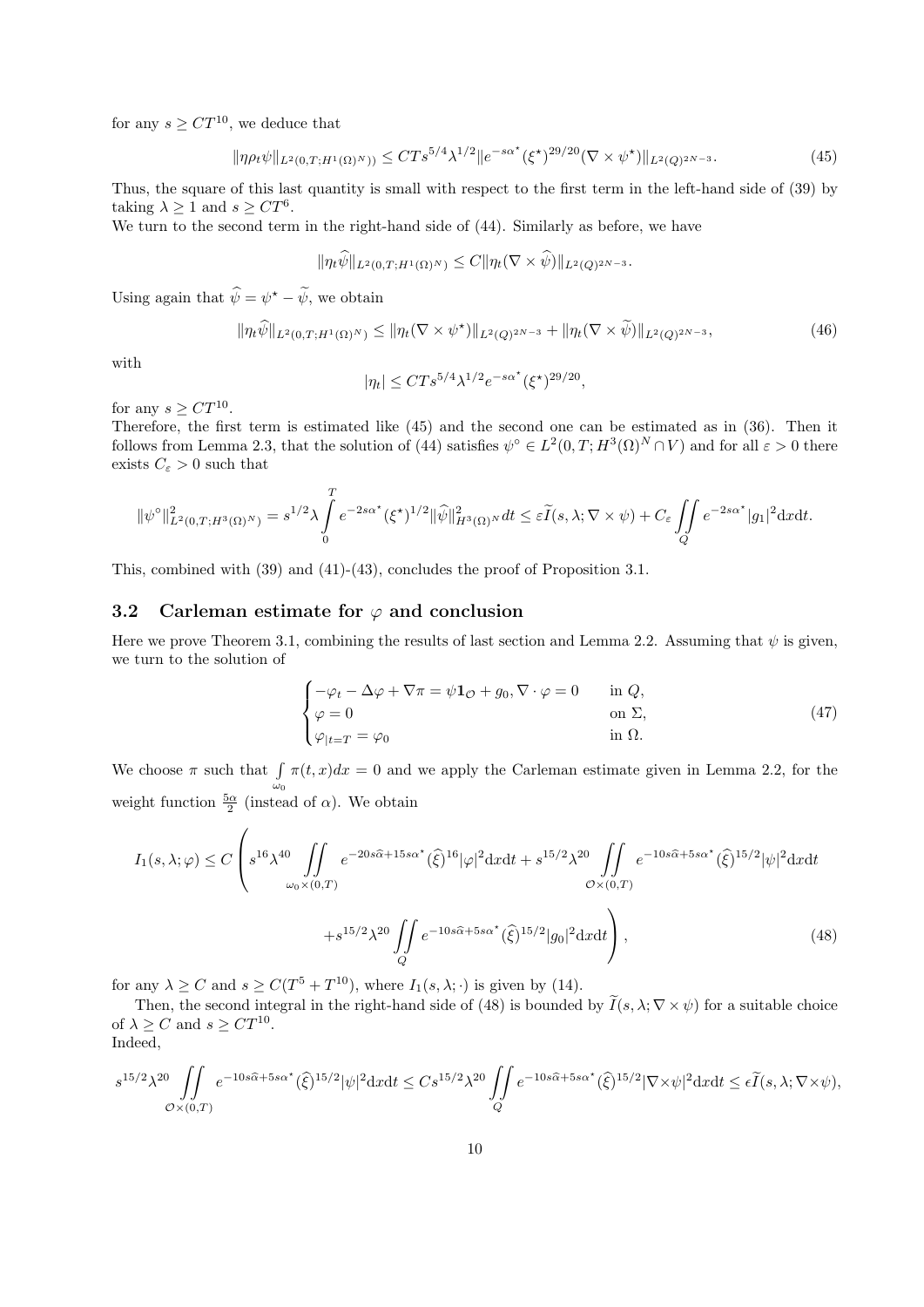for any  $s \geq C T^{10}$ , we deduce that

$$
\|\eta \rho_t \psi\|_{L^2(0,T;H^1(\Omega)^N)} \leq C T s^{5/4} \lambda^{1/2} \|e^{-s\alpha^*} (\xi^*)^{29/20} (\nabla \times \psi^*)\|_{L^2(Q)^{2N-3}}.
$$
\n(45)

Thus, the square of this last quantity is small with respect to the first term in the left-hand side of (39) by taking  $\lambda \geq 1$  and  $s \geq CT^6$ .

We turn to the second term in the right-hand side of (44). Similarly as before, we have

$$
\|\eta_t\widetilde{\psi}\|_{L^2(0,T;H^1(\Omega)^N)}\leq C\|\eta_t(\nabla\times\widetilde{\psi})\|_{L^2(Q)^{2N-3}}.
$$

Using again that  $\hat{\psi} = \psi^* - \hat{\psi}$ , we obtain

$$
\|\eta_t \widehat{\psi}\|_{L^2(0,T;H^1(\Omega)^N)} \le \|\eta_t(\nabla \times \psi^\star)\|_{L^2(Q)^{2N-3}} + \|\eta_t(\nabla \times \widetilde{\psi})\|_{L^2(Q)^{2N-3}},\tag{46}
$$

with

$$
|\eta_t| \le C T s^{5/4} \lambda^{1/2} e^{-s \alpha^{\star}} (\xi^{\star})^{29/20},
$$

for any  $s \geq C T^{10}$ .

Therefore, the first term is estimated like (45) and the second one can be estimated as in (36). Then it follows from Lemma 2.3, that the solution of (44) satisfies  $\psi^{\circ} \in L^2(0,T;H^3(\Omega)^N \cap V)$  and for all  $\varepsilon > 0$  there exists  $C_{\varepsilon} > 0$  such that

$$
\|\psi^{\circ}\|_{L^{2}(0,T;H^{3}(\Omega)^{N})}^{2} = s^{1/2}\lambda \int_{0}^{T} e^{-2s\alpha^{*}}(\xi^{*})^{1/2} \|\widehat{\psi}\|_{H^{3}(\Omega)^{N}}^{2} dt \leq \varepsilon \widetilde{I}(s,\lambda;\nabla \times \psi) + C_{\varepsilon} \iint_{Q} e^{-2s\alpha^{*}}|g_{1}|^{2} dxdt.
$$

This, combined with (39) and (41)-(43), concludes the proof of Proposition 3.1.

#### 3.2 Carleman estimate for  $\varphi$  and conclusion

Here we prove Theorem 3.1, combining the results of last section and Lemma 2.2. Assuming that  $\psi$  is given, we turn to the solution of

$$
\begin{cases}\n-\varphi_t - \Delta \varphi + \nabla \pi = \psi \mathbf{1}_{\mathcal{O}} + g_0, \nabla \cdot \varphi = 0 & \text{in } Q, \\
\varphi = 0 & \text{on } \Sigma, \\
\varphi_{|t=T} = \varphi_0 & \text{in } \Omega.\n\end{cases}
$$
\n(47)

We choose  $\pi$  such that  $\int$  $\omega_0$  $\pi(t, x)dx = 0$  and we apply the Carleman estimate given in Lemma 2.2, for the weight function  $\frac{5\alpha}{2}$  (instead of  $\alpha$ ). We obtain

$$
I_{1}(s,\lambda;\varphi) \leq C \left( s^{16} \lambda^{40} \iint\limits_{\omega_{0} \times (0,T)} e^{-20s\hat{\alpha} + 15s\alpha^{*}}(\hat{\xi})^{16} |\varphi|^{2} dxdt + s^{15/2} \lambda^{20} \iint\limits_{\mathcal{O} \times (0,T)} e^{-10s\hat{\alpha} + 5s\alpha^{*}}(\hat{\xi})^{15/2} |\psi|^{2} dxdt + s^{15/2} \lambda^{20} \iint\limits_{Q} e^{-10s\hat{\alpha} + 5s\alpha^{*}}(\hat{\xi})^{15/2} |g_{0}|^{2} dxdt \right), \tag{48}
$$

for any  $\lambda \ge C$  and  $s \ge C(T^5 + T^{10})$ , where  $I_1(s, \lambda; \cdot)$  is given by (14).

Then, the second integral in the right-hand side of (48) is bounded by  $\tilde{I}(s, \lambda; \nabla \times \psi)$  for a suitable choice of  $\lambda \ge C$  and  $s \ge CT^{10}$ . Indeed,

$$
s^{15/2}\lambda^{20}\iint\limits_{\mathcal{O}\times(0,T)}e^{-10s\widehat{\alpha}+5s\alpha^*}(\widehat{\xi})^{15/2}|\psi|^2\textrm{d}x\textrm{d}t\leq Cs^{15/2}\lambda^{20}\iint\limits_{Q}e^{-10s\widehat{\alpha}+5s\alpha^*}(\widehat{\xi})^{15/2}|\nabla\times\psi|^2\textrm{d}x\textrm{d}t\leq\epsilon\widetilde{I}(s,\lambda;\nabla\times\psi),
$$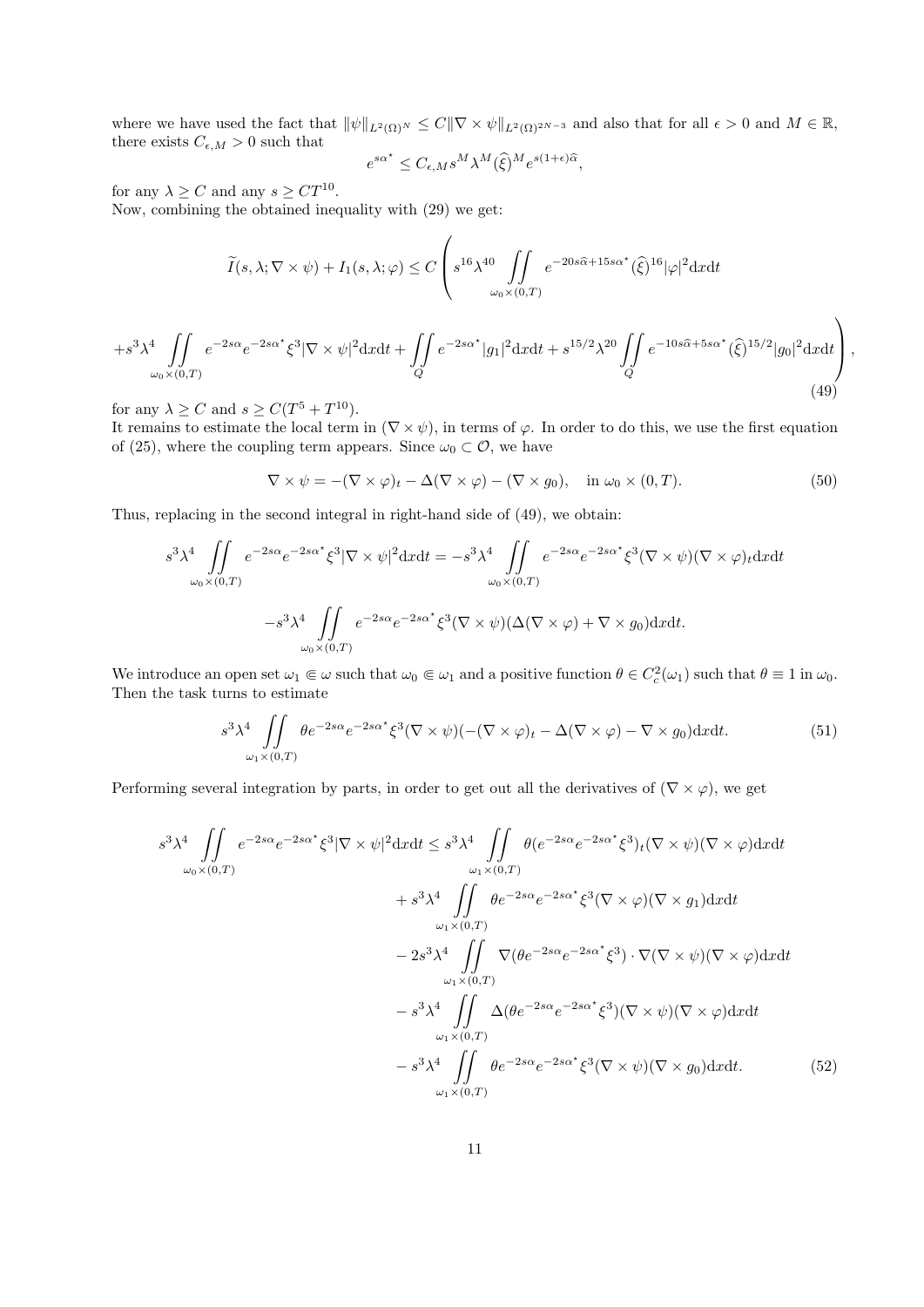where we have used the fact that  $\|\psi\|_{L^2(\Omega)^N} \leq C\|\nabla \times \psi\|_{L^2(\Omega)^{2N-3}}$  and also that for all  $\epsilon > 0$  and  $M \in \mathbb{R}$ , there exists  $C_{\epsilon,M} > 0$  such that

$$
e^{s\alpha^{\star}} \leq C_{\epsilon,M} s^M \lambda^M(\hat{\xi})^M e^{s(1+\epsilon)\hat{\alpha}},
$$

for any  $\lambda \geq C$  and any  $s \geq C T^{10}$ .

Now, combining the obtained inequality with (29) we get:

$$
\widetilde{I}(s,\lambda;\nabla \times \psi) + I_1(s,\lambda;\varphi) \le C \left( s^{16} \lambda^{40} \iint\limits_{\omega_0 \times (0,T)} e^{-20s\widehat{\alpha} + 15s\alpha^*} (\widehat{\xi})^{16} |\varphi|^2 dxdt \right)
$$

$$
+s^{3}\lambda^{4}\iint\limits_{\omega_{0}\times(0,T)}e^{-2s\alpha}e^{-2s\alpha^{*}}\xi^{3}|\nabla\times\psi|^{2}\mathrm{d}x\mathrm{d}t+\iint\limits_{Q}e^{-2s\alpha^{*}}|g_{1}|^{2}\mathrm{d}x\mathrm{d}t+s^{15/2}\lambda^{20}\iint\limits_{Q}e^{-10s\widehat{\alpha}+5s\alpha^{*}}(\widehat{\xi})^{15/2}|g_{0}|^{2}\mathrm{d}x\mathrm{d}t\bigg),\tag{49}
$$

for any  $\lambda \ge C$  and  $s \ge C(T^5 + T^{10})$ .

It remains to estimate the local term in  $(\nabla \times \psi)$ , in terms of  $\varphi$ . In order to do this, we use the first equation of (25), where the coupling term appears. Since  $\omega_0 \subset \mathcal{O}$ , we have

$$
\nabla \times \psi = -(\nabla \times \varphi)_t - \Delta(\nabla \times \varphi) - (\nabla \times g_0), \quad \text{in } \omega_0 \times (0, T). \tag{50}
$$

Thus, replacing in the second integral in right-hand side of (49), we obtain:

$$
s^{3} \lambda^{4} \iint\limits_{\omega_{0} \times (0,T)} e^{-2s\alpha} e^{-2s\alpha^{*}} \xi^{3} |\nabla \times \psi|^{2} dx dt = -s^{3} \lambda^{4} \iint\limits_{\omega_{0} \times (0,T)} e^{-2s\alpha} e^{-2s\alpha^{*}} \xi^{3} (\nabla \times \psi)(\nabla \times \varphi)_{t} dx dt
$$

$$
-s^{3} \lambda^{4} \iint\limits_{\omega_{0} \times (0,T)} e^{-2s\alpha} e^{-2s\alpha^{*}} \xi^{3} (\nabla \times \psi)(\Delta(\nabla \times \varphi) + \nabla \times g_{0}) dx dt.
$$

We introduce an open set  $\omega_1 \in \omega$  such that  $\omega_0 \in \omega_1$  and a positive function  $\theta \in C_c^2(\omega_1)$  such that  $\theta \equiv 1$  in  $\omega_0$ . Then the task turns to estimate

$$
s^{3} \lambda^{4} \iint\limits_{\omega_{1} \times (0,T)} \theta e^{-2s\alpha} e^{-2s\alpha^{*}} \xi^{3} (\nabla \times \psi)(-(\nabla \times \varphi)_{t} - \Delta(\nabla \times \varphi) - \nabla \times g_{0}) \mathrm{d}x \mathrm{d}t.
$$
 (51)

Performing several integration by parts, in order to get out all the derivatives of ( $\nabla \times \varphi$ ), we get

$$
s^{3} \lambda^{4} \iint_{\omega_{0} \times (0,T)} e^{-2s\alpha} e^{-2s\alpha^{*}} \xi^{3} |\nabla \times \psi|^{2} dx dt \leq s^{3} \lambda^{4} \iint_{\omega_{1} \times (0,T)} \theta(e^{-2s\alpha} e^{-2s\alpha^{*}} \xi^{3})_{t} (\nabla \times \psi)(\nabla \times \varphi) dx dt + s^{3} \lambda^{4} \iint_{\omega_{1} \times (0,T)} \theta e^{-2s\alpha} e^{-2s\alpha^{*}} \xi^{3} (\nabla \times \varphi)(\nabla \times g_{1}) dx dt - 2s^{3} \lambda^{4} \iint_{\omega_{1} \times (0,T)} \nabla (\theta e^{-2s\alpha} e^{-2s\alpha^{*}} \xi^{3}) \cdot \nabla (\nabla \times \psi)(\nabla \times \varphi) dx dt - s^{3} \lambda^{4} \iint_{\omega_{1} \times (0,T)} \Delta(\theta e^{-2s\alpha} e^{-2s\alpha^{*}} \xi^{3}) (\nabla \times \psi)(\nabla \times \varphi) dx dt - s^{3} \lambda^{4} \iint_{\omega_{1} \times (0,T)} \theta e^{-2s\alpha} e^{-2s\alpha^{*}} \xi^{3} (\nabla \times \psi)(\nabla \times g_{0}) dx dt.
$$
 (52)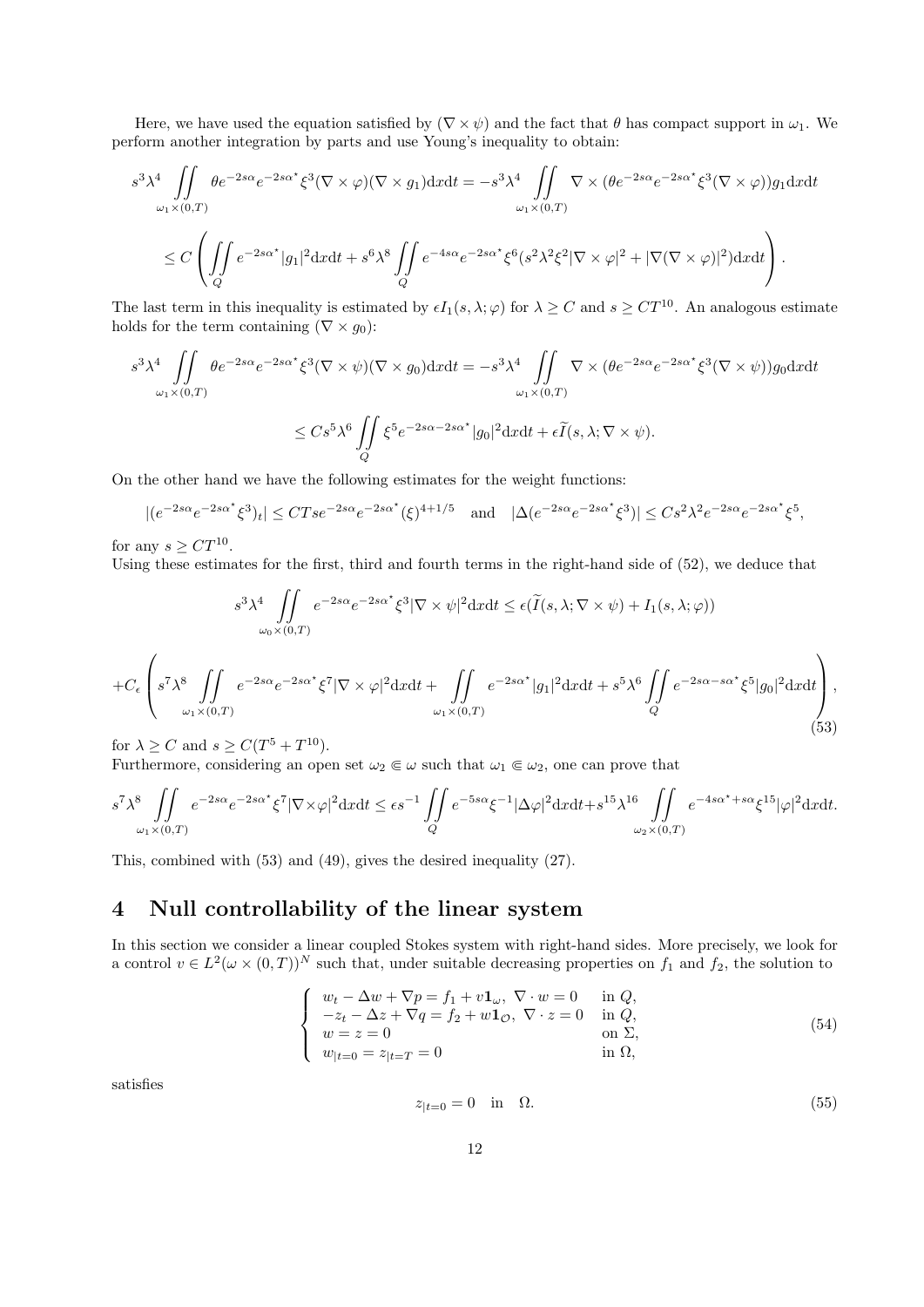Here, we have used the equation satisfied by  $(\nabla \times \psi)$  and the fact that  $\theta$  has compact support in  $\omega_1$ . We perform another integration by parts and use Young's inequality to obtain:

$$
s^{3} \lambda^{4} \iint\limits_{\omega_{1} \times (0,T)} \theta e^{-2s\alpha} e^{-2s\alpha^{*}} \xi^{3} (\nabla \times \varphi)(\nabla \times g_{1}) dx dt = -s^{3} \lambda^{4} \iint\limits_{\omega_{1} \times (0,T)} \nabla \times (\theta e^{-2s\alpha} e^{-2s\alpha^{*}} \xi^{3} (\nabla \times \varphi)) g_{1} dx dt
$$
  

$$
\leq C \left( \iint\limits_{Q} e^{-2s\alpha^{*}} |g_{1}|^{2} dx dt + s^{6} \lambda^{8} \iint\limits_{Q} e^{-4s\alpha} e^{-2s\alpha^{*}} \xi^{6} (s^{2} \lambda^{2} \xi^{2} |\nabla \times \varphi|^{2} + |\nabla (\nabla \times \varphi)|^{2}) dx dt \right).
$$

The last term in this inequality is estimated by  $\epsilon I_1(s, \lambda; \varphi)$  for  $\lambda \geq C$  and  $s \geq CT^{10}$ . An analogous estimate holds for the term containing ( $\nabla \times g_0$ ):

$$
s^{3} \lambda^{4} \iint\limits_{\omega_{1} \times (0,T)} \theta e^{-2s\alpha} e^{-2s\alpha^{*}} \xi^{3} (\nabla \times \psi)(\nabla \times g_{0}) dx dt = -s^{3} \lambda^{4} \iint\limits_{\omega_{1} \times (0,T)} \nabla \times (\theta e^{-2s\alpha} e^{-2s\alpha^{*}} \xi^{3} (\nabla \times \psi)) g_{0} dx dt
$$
  

$$
\leq C s^{5} \lambda^{6} \iint\limits_{Q} \xi^{5} e^{-2s\alpha - 2s\alpha^{*}} |g_{0}|^{2} dx dt + \epsilon \widetilde{I}(s, \lambda; \nabla \times \psi).
$$

On the other hand we have the following estimates for the weight functions:

$$
|(e^{-2s\alpha}e^{-2s\alpha^*}\xi^3)_t| \le CTse^{-2s\alpha}e^{-2s\alpha^*}(\xi)^{4+1/5} \quad \text{and} \quad |\Delta(e^{-2s\alpha}e^{-2s\alpha^*}\xi^3)| \le Cs^2\lambda^2e^{-2s\alpha}e^{-2s\alpha^*}\xi^5,
$$

for any  $s \geq C T^{10}$ .

Using these estimates for the first, third and fourth terms in the right-hand side of (52), we deduce that

$$
s^{3} \lambda^{4} \iint_{\omega_{0} \times (0,T)} e^{-2s\alpha} e^{-2s\alpha^{*}} \xi^{3} |\nabla \times \psi|^{2} dx dt \leq \epsilon (\widetilde{I}(s, \lambda; \nabla \times \psi) + I_{1}(s, \lambda; \varphi))
$$
  
+
$$
C_{\epsilon} \left( s^{7} \lambda^{8} \iint_{\omega_{1} \times (0,T)} e^{-2s\alpha} e^{-2s\alpha^{*}} \xi^{7} |\nabla \times \varphi|^{2} dx dt + \iint_{\omega_{1} \times (0,T)} e^{-2s\alpha^{*}} |g_{1}|^{2} dx dt + s^{5} \lambda^{6} \iint_{Q} e^{-2s\alpha - s\alpha^{*}} \xi^{5} |g_{0}|^{2} dx dt \right), \tag{53}
$$

for  $\lambda \ge C$  and  $s \ge C(T^5 + T^{10})$ .

Furthermore, considering an open set  $\omega_2 \in \omega$  such that  $\omega_1 \in \omega_2$ , one can prove that

$$
s^7 \lambda^8 \iint\limits_{\omega_1 \times (0,T)} e^{-2s\alpha} e^{-2s\alpha^*} \xi^7 |\nabla \times \varphi|^2 dx dt \le \epsilon s^{-1} \iint\limits_Q e^{-5s\alpha} \xi^{-1} |\Delta \varphi|^2 dx dt + s^{15} \lambda^{16} \iint\limits_{\omega_2 \times (0,T)} e^{-4s\alpha^* + s\alpha} \xi^{15} |\varphi|^2 dx dt.
$$

This, combined with (53) and (49), gives the desired inequality (27).

## 4 Null controllability of the linear system

In this section we consider a linear coupled Stokes system with right-hand sides. More precisely, we look for a control  $v \in L^2(\omega \times (0,T))^N$  such that, under suitable decreasing properties on  $f_1$  and  $f_2$ , the solution to

$$
\begin{cases}\nw_t - \Delta w + \nabla p = f_1 + v \mathbf{1}_{\omega}, \ \nabla \cdot w = 0 \quad \text{in } Q, \\
-z_t - \Delta z + \nabla q = f_2 + w \mathbf{1}_{\mathcal{O}}, \ \nabla \cdot z = 0 \quad \text{in } Q, \\
w = z = 0 \quad \text{on } \Sigma, \\
w_{|t=0} = z_{|t=T} = 0 \quad \text{in } \Omega,\n\end{cases}
$$
\n(54)

satisfies

$$
z_{|t=0} = 0 \quad \text{in} \quad \Omega. \tag{55}
$$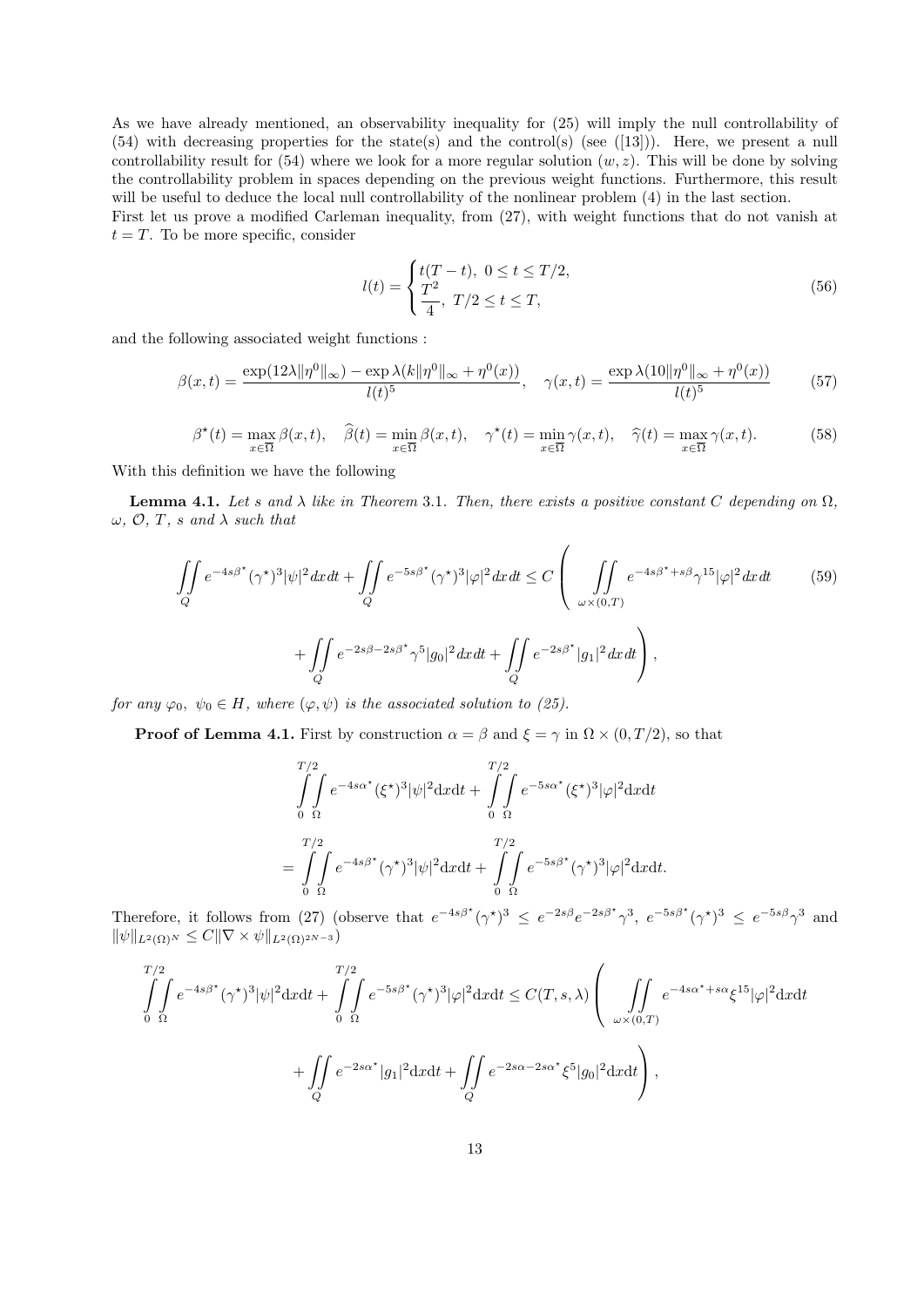As we have already mentioned, an observability inequality for (25) will imply the null controllability of (54) with decreasing properties for the state(s) and the control(s) (see ([13])). Here, we present a null controllability result for  $(54)$  where we look for a more regular solution  $(w, z)$ . This will be done by solving the controllability problem in spaces depending on the previous weight functions. Furthermore, this result will be useful to deduce the local null controllability of the nonlinear problem  $(4)$  in the last section.

First let us prove a modified Carleman inequality, from (27), with weight functions that do not vanish at  $t = T$ . To be more specific, consider

$$
l(t) = \begin{cases} t(T - t), & 0 \le t \le T/2, \\ \frac{T^2}{4}, & T/2 \le t \le T, \end{cases}
$$
 (56)

and the following associated weight functions :

$$
\beta(x,t) = \frac{\exp(12\lambda \|\eta^0\|_{\infty}) - \exp \lambda(k\|\eta^0\|_{\infty} + \eta^0(x))}{l(t)^5}, \quad \gamma(x,t) = \frac{\exp \lambda(10\|\eta^0\|_{\infty} + \eta^0(x))}{l(t)^5}
$$
(57)

$$
\beta^*(t) = \max_{x \in \overline{\Omega}} \beta(x, t), \quad \widehat{\beta}(t) = \min_{x \in \overline{\Omega}} \beta(x, t), \quad \gamma^*(t) = \min_{x \in \overline{\Omega}} \gamma(x, t), \quad \widehat{\gamma}(t) = \max_{x \in \overline{\Omega}} \gamma(x, t). \tag{58}
$$

With this definition we have the following

**Lemma 4.1.** Let s and  $\lambda$  like in Theorem 3.1. Then, there exists a positive constant C depending on  $\Omega$ ,  $\omega$ ,  $\mathcal{O}$ ,  $T$ , s and  $\lambda$  such that

$$
\iint\limits_{Q} e^{-4s\beta^*} (\gamma^*)^3 |\psi|^2 dx dt + \iint\limits_{Q} e^{-5s\beta^*} (\gamma^*)^3 |\varphi|^2 dx dt \le C \left( \iint\limits_{\omega \times (0,T)} e^{-4s\beta^* + s\beta} \gamma^{15} |\varphi|^2 dx dt \qquad (59)
$$

$$
+ \iint\limits_{Q} e^{-2s\beta - 2s\beta^*} \gamma^5 |g_0|^2 dx dt + \iint\limits_{Q} e^{-2s\beta^*} |g_1|^2 dx dt \right),
$$

for any  $\varphi_0, \psi_0 \in H$ , where  $(\varphi, \psi)$  is the associated solution to (25).

**Proof of Lemma 4.1.** First by construction  $\alpha = \beta$  and  $\xi = \gamma$  in  $\Omega \times (0, T/2)$ , so that

$$
\int_{0}^{T/2} \int_{\Omega} e^{-4s\alpha^*} (\xi^*)^3 |\psi|^2 dxdt + \int_{0}^{T/2} \int_{\Omega} e^{-5s\alpha^*} (\xi^*)^3 |\varphi|^2 dxdt
$$

$$
= \int_{0}^{T/2} \int_{\Omega} e^{-4s\beta^*} (\gamma^*)^3 |\psi|^2 dxdt + \int_{0}^{T/2} \int_{\Omega} e^{-5s\beta^*} (\gamma^*)^3 |\varphi|^2 dxdt.
$$

Therefore, it follows from (27) (observe that  $e^{-4s\beta^*}(\gamma^*)^3 \leq e^{-2s\beta}e^{-2s\beta^*}\gamma^3$ ,  $e^{-5s\beta^*}(\gamma^*)^3 \leq e^{-5s\beta}\gamma^3$  and  $\|\psi\|_{L^2(\Omega)^N} \leq C\|\nabla \times \psi\|_{L^2(\Omega)^{2N-3}}$ 

$$
\iint_{0}^{T/2} e^{-4s\beta^*} (\gamma^*)^3 |\psi|^2 dxdt + \iint_{0}^{T/2} e^{-5s\beta^*} (\gamma^*)^3 |\varphi|^2 dxdt \leq C(T, s, \lambda) \left( \iint_{\omega \times (0,T)} e^{-4s\alpha^* + s\alpha} \xi^{15} |\varphi|^2 dxdt + \iint_{Q} e^{-2s\alpha^*} |g_1|^2 dxdt + \iint_{Q} e^{-2s\alpha - 2s\alpha^*} \xi^5 |g_0|^2 dxdt \right),
$$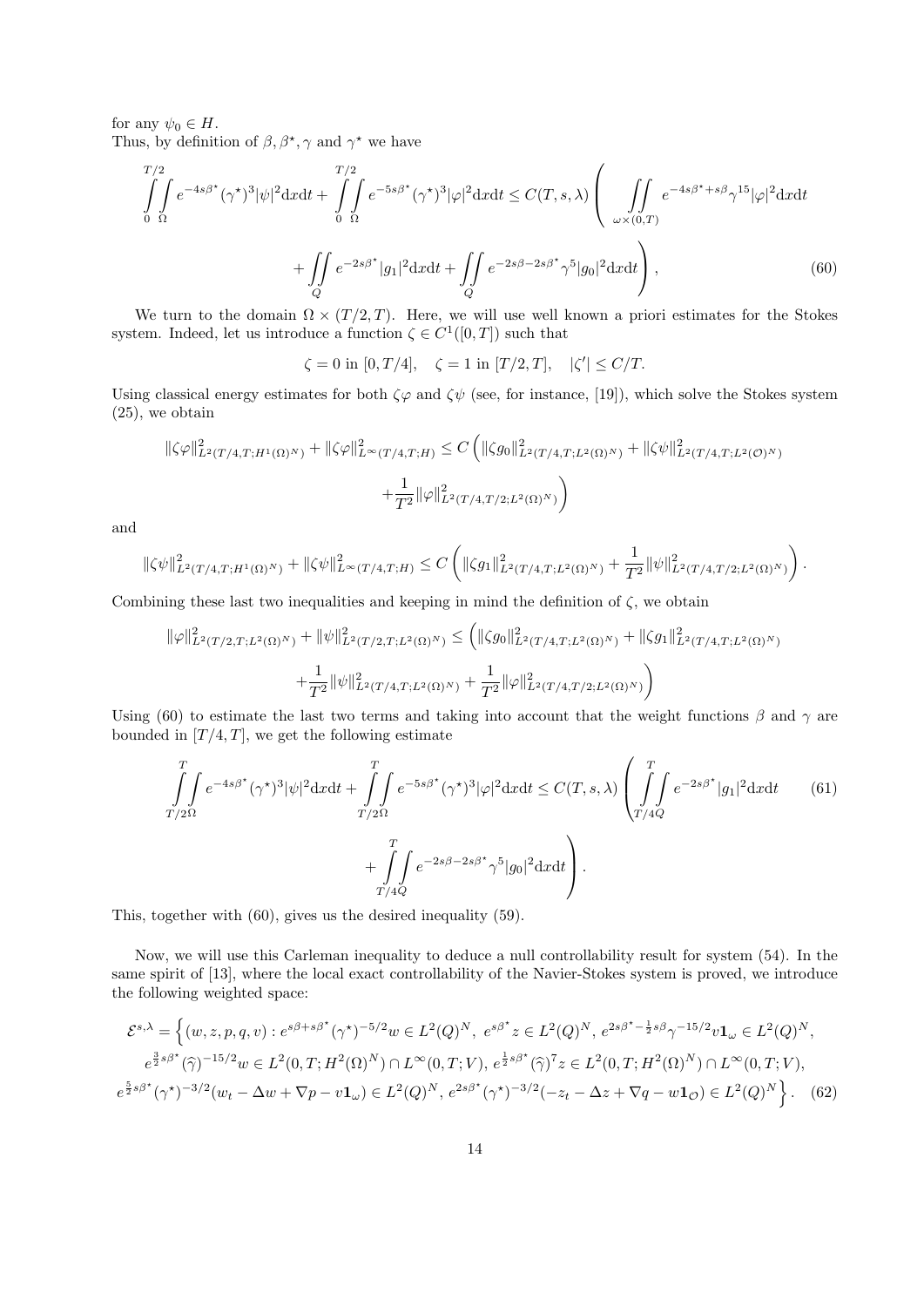for any  $\psi_0 \in H$ . Thus, by definition of  $\beta$ ,  $\beta^*$ ,  $\gamma$  and  $\gamma^*$  we have

$$
\int_{0}^{T/2} \int_{\Omega} e^{-4s\beta^{\star}} (\gamma^{\star})^3 |\psi|^2 dxdt + \int_{0}^{T/2} \int_{\Omega} e^{-5s\beta^{\star}} (\gamma^{\star})^3 |\varphi|^2 dxdt \le C(T, s, \lambda) \left( \iint_{\omega \times (0, T)} e^{-4s\beta^{\star} + s\beta} \gamma^{15} |\varphi|^2 dxdt + \iint_{Q} e^{-2s\beta^{\star}} |g_1|^2 dxdt + \iint_{Q} e^{-2s\beta - 2s\beta^{\star}} \gamma^5 |g_0|^2 dxdt \right),
$$
\n(60)

We turn to the domain  $\Omega \times (T/2, T)$ . Here, we will use well known a priori estimates for the Stokes system. Indeed, let us introduce a function  $\zeta \in C^1([0,T])$  such that

$$
\zeta=0 \text{ in }[0,T/4],\quad \zeta=1 \text{ in }[T/2,T],\quad |\zeta'|\leq C/T.
$$

Using classical energy estimates for both  $\zeta\varphi$  and  $\zeta\psi$  (see, for instance, [19]), which solve the Stokes system (25), we obtain

$$
\|\zeta\varphi\|_{L^2(T/4,T;H^1(\Omega)^N)}^2 + \|\zeta\varphi\|_{L^\infty(T/4,T;H)}^2 \le C \left( \|\zeta g_0\|_{L^2(T/4,T;L^2(\Omega)^N)}^2 + \|\zeta\psi\|_{L^2(T/4,T;L^2(\mathcal{O})^N)}^2 + \frac{1}{T^2} \|\varphi\|_{L^2(T/4,T/2;L^2(\Omega)^N)}^2 \right)
$$

and

$$
\|\zeta\psi\|_{L^2(T/4,T;H^1(\Omega)^N)}^2+\|\zeta\psi\|_{L^\infty(T/4,T;H)}^2\leq C\left(\|\zeta g_1\|_{L^2(T/4,T;L^2(\Omega)^N)}^2+\frac{1}{T^2}\|\psi\|_{L^2(T/4,T/2;L^2(\Omega)^N)}^2\right).
$$

Combining these last two inequalities and keeping in mind the definition of  $\zeta$ , we obtain

$$
\|\varphi\|_{L^2(T/2,T;L^2(\Omega)^N)}^2 + \|\psi\|_{L^2(T/2,T;L^2(\Omega)^N)}^2 \leq \left( \|\zeta g_0\|_{L^2(T/4,T;L^2(\Omega)^N)}^2 + \|\zeta g_1\|_{L^2(T/4,T;L^2(\Omega)^N)}^2 + \frac{1}{T^2} \|\psi\|_{L^2(T/4,T;L^2(\Omega)^N)}^2 + \frac{1}{T^2} \|\varphi\|_{L^2(T/4,T/2;L^2(\Omega)^N)}^2 \right)
$$

Using (60) to estimate the last two terms and taking into account that the weight functions  $\beta$  and  $\gamma$  are bounded in  $[T/4, T]$ , we get the following estimate

$$
\int_{T/2\Omega}^{T} e^{-4s\beta^*} (\gamma^*)^3 |\psi|^2 dx dt + \int_{T/2\Omega}^{T} e^{-5s\beta^*} (\gamma^*)^3 |\varphi|^2 dx dt \le C(T, s, \lambda) \left( \int_{T/4Q}^{T} e^{-2s\beta^*} |g_1|^2 dx dt \qquad (61)
$$

$$
+ \int_{T/4Q}^{T} e^{-2s\beta - 2s\beta^*} \gamma^5 |g_0|^2 dx dt \right).
$$

This, together with (60), gives us the desired inequality (59).

Now, we will use this Carleman inequality to deduce a null controllability result for system (54). In the same spirit of [13], where the local exact controllability of the Navier-Stokes system is proved, we introduce the following weighted space:

$$
\mathcal{E}^{s,\lambda} = \left\{ (w, z, p, q, v) : e^{s\beta + s\beta^{\star}} (\gamma^{\star})^{-5/2} w \in L^{2}(Q)^{N}, e^{s\beta^{\star}} z \in L^{2}(Q)^{N}, e^{2s\beta^{\star} - \frac{1}{2}s\beta} \gamma^{-15/2} v \mathbf{1}_{\omega} \in L^{2}(Q)^{N}, \ e^{\frac{3}{2}s\beta^{\star}} (\widehat{\gamma})^{-15/2} w \in L^{2}(0, T; H^{2}(\Omega)^{N}) \cap L^{\infty}(0, T; V), e^{\frac{1}{2}s\beta^{\star}} (\widehat{\gamma})^{7} z \in L^{2}(0, T; H^{2}(\Omega)^{N}) \cap L^{\infty}(0, T; V), \ e^{\frac{5}{2}s\beta^{\star}} (\gamma^{\star})^{-3/2} (w_{t} - \Delta w + \nabla p - v \mathbf{1}_{\omega}) \in L^{2}(Q)^{N}, e^{2s\beta^{\star}} (\gamma^{\star})^{-3/2} (-z_{t} - \Delta z + \nabla q - w \mathbf{1}_{\mathcal{O}}) \in L^{2}(Q)^{N} \right\}.
$$
 (62)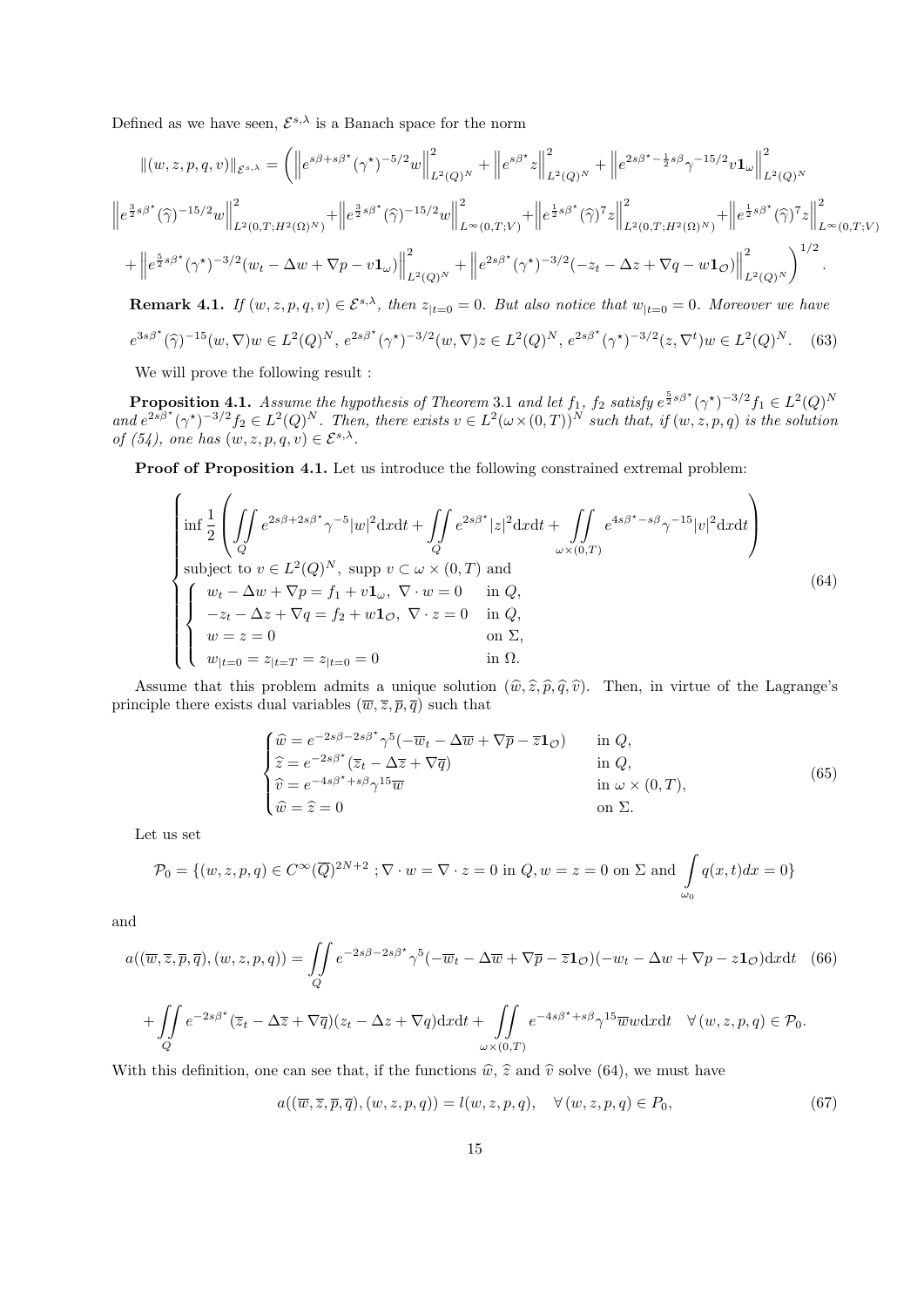Defined as we have seen,  $\mathcal{E}^{s,\lambda}$  is a Banach space for the norm

$$
\| (w, z, p, q, v) \|_{\mathcal{E}^{s, \lambda}} = \left( \left\| e^{s\beta + s\beta^*} (\gamma^*)^{-5/2} w \right\|_{L^2(Q)^N}^2 + \left\| e^{s\beta^*} z \right\|_{L^2(Q)^N}^2 + \left\| e^{2s\beta^* - \frac{1}{2}s\beta} \gamma^{-15/2} v \mathbf{1}_{\omega} \right\|_{L^2(Q)^N}^2 \right)
$$
  

$$
\left\| e^{\frac{3}{2}s\beta^*} (\widehat{\gamma})^{-15/2} w \right\|_{L^2(0, T; H^2(\Omega)^N)}^2 + \left\| e^{\frac{3}{2}s\beta^*} (\widehat{\gamma})^{-15/2} w \right\|_{L^\infty(0, T; V)}^2 + \left\| e^{\frac{1}{2}s\beta^*} (\widehat{\gamma})^7 z \right\|_{L^2(0, T; H^2(\Omega)^N)}^2 + \left\| e^{\frac{1}{2}s\beta^*} (\widehat{\gamma})^7 z \right\|_{L^\infty(0, T; V)}^2 \right)
$$
  
+ 
$$
\left\| e^{\frac{5}{2}s\beta^*} (\gamma^*)^{-3/2} (w_t - \Delta w + \nabla p - v \mathbf{1}_{\omega}) \right\|_{L^2(Q)^N}^2 + \left\| e^{2s\beta^*} (\gamma^*)^{-3/2} (-z_t - \Delta z + \nabla q - w \mathbf{1}_{\mathcal{O}}) \right\|_{L^2(Q)^N}^2 \right)^{1/2}.
$$

**Remark 4.1.** If  $(w, z, p, q, v) \in \mathcal{E}^{s,\lambda}$ , then  $z_{|t=0} = 0$ . But also notice that  $w_{|t=0} = 0$ . Moreover we have

$$
e^{3s\beta^{\star}}(\hat{\gamma})^{-15}(w,\nabla)w \in L^{2}(Q)^{N}, \ e^{2s\beta^{\star}}(\gamma^{\star})^{-3/2}(w,\nabla)z \in L^{2}(Q)^{N}, \ e^{2s\beta^{\star}}(\gamma^{\star})^{-3/2}(z,\nabla^{t})w \in L^{2}(Q)^{N}.
$$
 (63)

We will prove the following result :

**Proposition 4.1.** Assume the hypothesis of Theorem 3.1 and let  $f_1$ ,  $f_2$  satisfy  $e^{\frac{5}{2}s\beta^*}(\gamma^*)^{-3/2}f_1 \in L^2(Q)^N$ and  $e^{2s\beta^{\star}}(\gamma^{\star})^{-3/2}f_2 \in L^2(Q)^N$ . Then, there exists  $v \in L^2(\omega \times (0,T))^N$  such that, if  $(w, z, p, q)$  is the solution of (54), one has  $(w, z, p, q, v) \in \mathcal{E}^{s,\lambda}$ .

Proof of Proposition 4.1. Let us introduce the following constrained extremal problem:

$$
\begin{cases}\n\inf \frac{1}{2} \left( \iint_{Q} e^{2s\beta + 2s\beta^{*}} \gamma^{-5} |w|^{2} dx dt + \iint_{Q} e^{2s\beta^{*}} |z|^{2} dx dt + \iint_{\omega \times (0,T)} e^{4s\beta^{*} - s\beta} \gamma^{-15} |v|^{2} dx dt \right) \\
\text{subject to } v \in L^{2}(Q)^{N}, \text{ supp } v \subset \omega \times (0,T) \text{ and} \\
w_{t} - \Delta w + \nabla p = f_{1} + v \mathbf{1}_{\omega}, \nabla \cdot w = 0 \quad \text{in } Q, \\
-z_{t} - \Delta z + \nabla q = f_{2} + w \mathbf{1}_{\mathcal{O}}, \nabla \cdot z = 0 \quad \text{in } Q, \\
w = z = 0 \quad \text{on } \Sigma, \\
w_{|t=0} = z_{|t=T} = z_{|t=0} = 0 \quad \text{in } \Omega.\n\end{cases}
$$
\n(64)

Assume that this problem admits a unique solution  $(\hat{w}, \hat{z}, \hat{p}, \hat{q}, \hat{v})$ . Then, in virtue of the Lagrange's principle there exists dual variables  $(\overline{w}, \overline{z}, \overline{p}, \overline{q})$  such that

$$
\begin{cases}\n\widehat{w} = e^{-2s\beta - 2s\beta^*} \gamma^5 (-\overline{w}_t - \Delta \overline{w} + \nabla \overline{p} - \overline{z} \mathbf{1}_{\mathcal{O}}) & \text{in } Q, \\
\widehat{z} = e^{-2s\beta^*} (\overline{z}_t - \Delta \overline{z} + \nabla \overline{q}) & \text{in } Q, \\
\widehat{v} = e^{-4s\beta^* + s\beta} \gamma^{15} \overline{w} & \text{in } \omega \times (0, T), \\
\widehat{w} = \widehat{z} = 0 & \text{on } \Sigma.\n\end{cases}
$$
\n(65)

Let us set

$$
\mathcal{P}_0 = \{ (w, z, p, q) \in C^\infty(\overline{Q})^{2N+2} \; ; \nabla \cdot w = \nabla \cdot z = 0 \text{ in } Q, w = z = 0 \text{ on } \Sigma \text{ and } \int_{\omega_0} q(x, t) dx = 0 \}
$$

and

$$
a((\overline{w}, \overline{z}, \overline{p}, \overline{q}), (w, z, p, q)) = \iint_{Q} e^{-2s\beta - 2s\beta^{*}} \gamma^{5} (-\overline{w}_{t} - \Delta \overline{w} + \nabla \overline{p} - \overline{z} \mathbf{1}_{\mathcal{O}})(-w_{t} - \Delta w + \nabla p - z \mathbf{1}_{\mathcal{O}}) \mathrm{d}x \mathrm{d}t \quad (66)
$$
  
+ 
$$
\iint_{Q} e^{-2s\beta^{*}} (\overline{z}_{t} - \Delta \overline{z} + \nabla \overline{q})(z_{t} - \Delta z + \nabla q) \mathrm{d}x \mathrm{d}t + \iint_{\omega \times (0,T)} e^{-4s\beta^{*} + s\beta} \gamma^{15} \overline{w}w \mathrm{d}x \mathrm{d}t \quad \forall (w, z, p, q) \in \mathcal{P}_{0}.
$$

With this definition, one can see that, if the functions  $\hat{w}$ ,  $\hat{z}$  and  $\hat{v}$  solve (64), we must have

$$
a((\overline{w}, \overline{z}, \overline{p}, \overline{q}), (w, z, p, q)) = l(w, z, p, q), \quad \forall (w, z, p, q) \in P_0,
$$
\n
$$
(67)
$$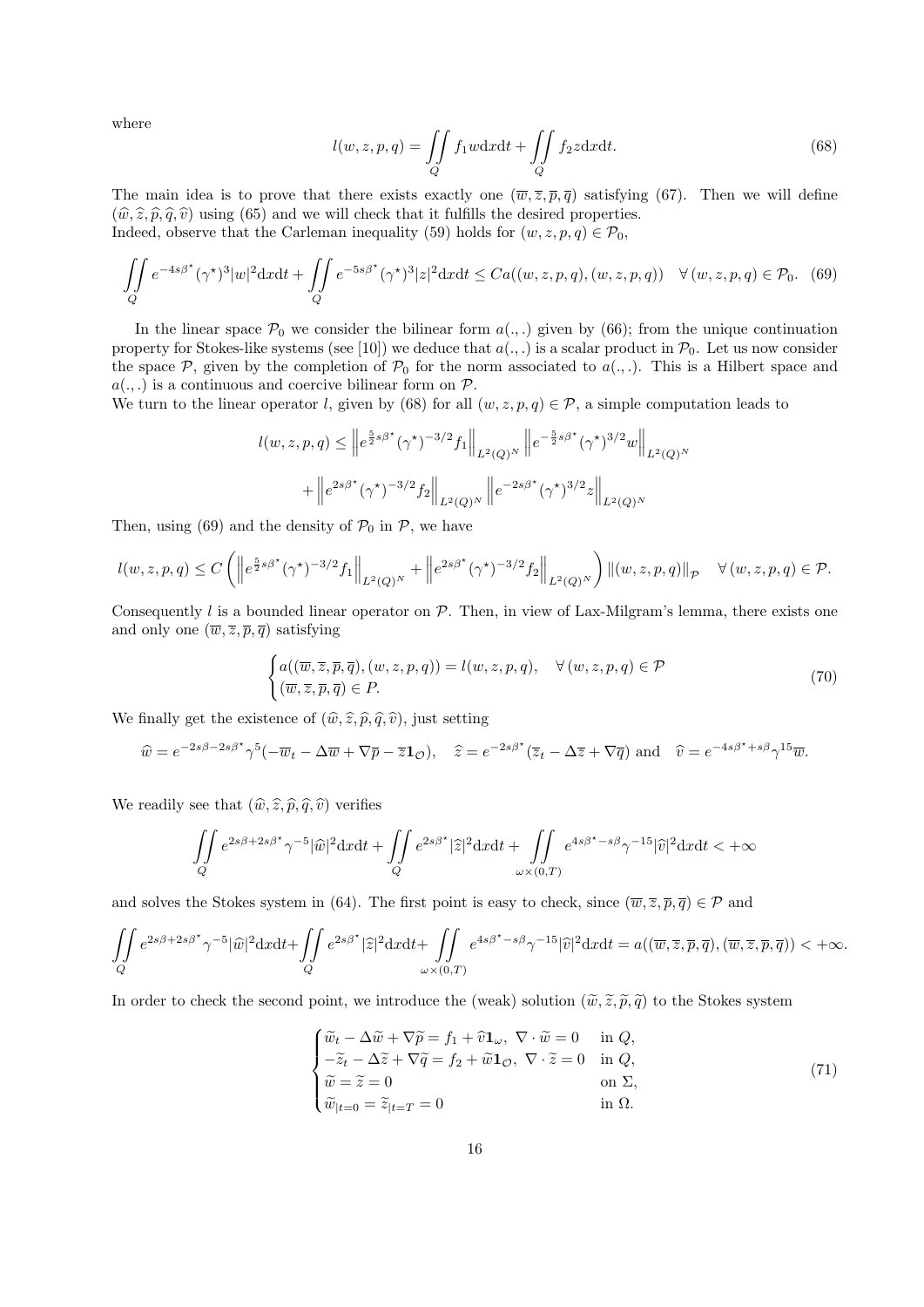where

$$
l(w, z, p, q) = \iint\limits_{Q} f_1 w \, dx \, dt + \iint\limits_{Q} f_2 z \, dx \, dt. \tag{68}
$$

The main idea is to prove that there exists exactly one  $(\overline{w}, \overline{z}, \overline{p}, \overline{q})$  satisfying (67). Then we will define  $(\hat{w}, \hat{z}, \hat{p}, \hat{q}, \hat{v})$  using (65) and we will check that it fulfills the desired properties. Indeed, observe that the Carleman inequality (59) holds for  $(w, z, p, q) \in \mathcal{P}_0$ ,

$$
\iint\limits_{Q} e^{-4s\beta^{\star}} (\gamma^{\star})^3 |w|^2 \mathrm{d}x \mathrm{d}t + \iint\limits_{Q} e^{-5s\beta^{\star}} (\gamma^{\star})^3 |z|^2 \mathrm{d}x \mathrm{d}t \leq C a((w, z, p, q), (w, z, p, q)) \quad \forall (w, z, p, q) \in \mathcal{P}_0. \tag{69}
$$

In the linear space  $\mathcal{P}_0$  we consider the bilinear form  $a(.,.)$  given by (66); from the unique continuation property for Stokes-like systems (see [10]) we deduce that  $a(.,.)$  is a scalar product in  $\mathcal{P}_0$ . Let us now consider the space  $P$ , given by the completion of  $P_0$  for the norm associated to  $a(.,.)$ . This is a Hilbert space and  $a(.,.)$  is a continuous and coercive bilinear form on  $P$ .

We turn to the linear operator l, given by (68) for all  $(w, z, p, q) \in \mathcal{P}$ , a simple computation leads to

$$
l(w, z, p, q) \leq \|e^{\frac{5}{2}s\beta^{\star}}(\gamma^{\star})^{-3/2}f_1\|_{L^2(Q)^N} \|e^{-\frac{5}{2}s\beta^{\star}}(\gamma^{\star})^{3/2}w\|_{L^2(Q)^N}
$$

$$
+ \|e^{2s\beta^{\star}}(\gamma^{\star})^{-3/2}f_2\|_{L^2(Q)^N} \|e^{-2s\beta^{\star}}(\gamma^{\star})^{3/2}z\|_{L^2(Q)^N}
$$

Then, using (69) and the density of  $P_0$  in P, we have

$$
l(w, z, p, q) \le C \left( \left\| e^{\frac{5}{2}s\beta^{\star}} (\gamma^{\star})^{-3/2} f_1 \right\|_{L^2(Q)^N} + \left\| e^{2s\beta^{\star}} (\gamma^{\star})^{-3/2} f_2 \right\|_{L^2(Q)^N} \right) \left\| (w, z, p, q) \right\|_{\mathcal{P}} \quad \forall (w, z, p, q) \in \mathcal{P}.
$$

Consequently l is a bounded linear operator on  $P$ . Then, in view of Lax-Milgram's lemma, there exists one and only one  $(\overline{w}, \overline{z}, \overline{p}, \overline{q})$  satisfying

$$
\begin{cases} a((\overline{w}, \overline{z}, \overline{p}, \overline{q}), (w, z, p, q)) = l(w, z, p, q), & \forall (w, z, p, q) \in \mathcal{P} \\ (\overline{w}, \overline{z}, \overline{p}, \overline{q}) \in P. \end{cases}
$$
(70)

We finally get the existence of  $(\widehat{w}, \widehat{z}, \widehat{p}, \widehat{q}, \widehat{v})$ , just setting

$$
\widehat{w} = e^{-2s\beta - 2s\beta^*} \gamma^5 (-\overline{w}_t - \Delta \overline{w} + \nabla \overline{p} - \overline{z} \mathbf{1}_{\mathcal{O}}), \quad \widehat{z} = e^{-2s\beta^*} (\overline{z}_t - \Delta \overline{z} + \nabla \overline{q}) \text{ and } \widehat{v} = e^{-4s\beta^* + s\beta} \gamma^{15} \overline{w}.
$$

We readily see that  $(\widehat{w}, \widehat{z}, \widehat{p}, \widehat{q}, \widehat{v})$  verifies

$$
\iint\limits_{Q} e^{2s\beta+2s\beta^{\star}} \gamma^{-5} |\widehat{w}|^2 dxdt + \iint\limits_{Q} e^{2s\beta^{\star}} |\widehat{z}|^2 dxdt + \iint\limits_{\omega \times (0,T)} e^{4s\beta^{\star} - s\beta} \gamma^{-15} |\widehat{v}|^2 dxdt < +\infty
$$

and solves the Stokes system in (64). The first point is easy to check, since  $(\overline{w}, \overline{z}, \overline{p}, \overline{q}) \in \mathcal{P}$  and

$$
\iint\limits_{Q} e^{2s\beta+2s\beta^{\star}} \gamma^{-5} |\widehat{w}|^2 dxdt + \iint\limits_{Q} e^{2s\beta^{\star}} |\widehat{z}|^2 dxdt + \iint\limits_{\omega \times (0,T)} e^{4s\beta^{\star} - s\beta} \gamma^{-15} |\widehat{v}|^2 dxdt = a((\overline{w}, \overline{z}, \overline{p}, \overline{q}), (\overline{w}, \overline{z}, \overline{p}, \overline{q})) < +\infty.
$$

In order to check the second point, we introduce the (weak) solution  $(\tilde{\omega}, \tilde{z}, \tilde{\rho}, \tilde{q})$  to the Stokes system

$$
\begin{cases}\n\widetilde{w}_t - \Delta \widetilde{w} + \nabla \widetilde{p} = f_1 + \widehat{v} \mathbf{1}_{\omega}, \ \nabla \cdot \widetilde{w} = 0 \quad \text{in } Q, \\
-\widetilde{z}_t - \Delta \widetilde{z} + \nabla \widetilde{q} = f_2 + \widetilde{w} \mathbf{1}_{\mathcal{O}}, \ \nabla \cdot \widetilde{z} = 0 \quad \text{in } Q, \\
\widetilde{w} = \widetilde{z} = 0 \quad \text{on } \Sigma, \\
\widetilde{w}_{|t=0} = \widetilde{z}_{|t=T} = 0 \quad \text{in } \Omega.\n\end{cases}
$$
\n(71)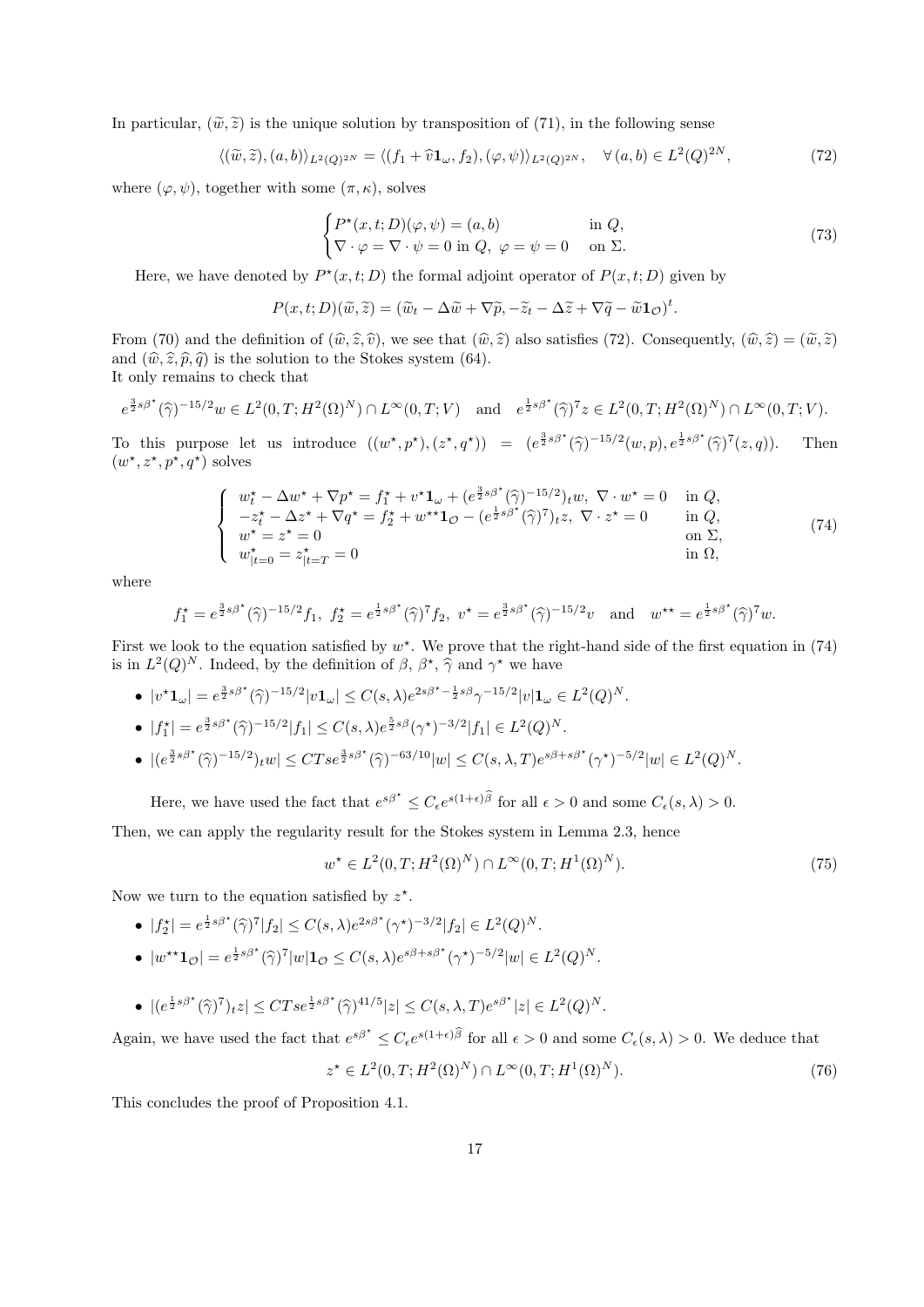In particular,  $(\tilde{\omega}, \tilde{z})$  is the unique solution by transposition of (71), in the following sense

$$
\langle (\widetilde{w}, \widetilde{z}), (a, b) \rangle_{L^2(Q)^{2N}} = \langle (f_1 + \widehat{v} \mathbf{1}_{\omega}, f_2), (\varphi, \psi) \rangle_{L^2(Q)^{2N}}, \quad \forall (a, b) \in L^2(Q)^{2N}, \tag{72}
$$

where  $(\varphi, \psi)$ , together with some  $(\pi, \kappa)$ , solves

$$
\begin{cases} P^*(x,t;D)(\varphi,\psi) = (a,b) & \text{in } Q, \\ \nabla \cdot \varphi = \nabla \cdot \psi = 0 & \text{in } Q, \ \varphi = \psi = 0 & \text{on } \Sigma. \end{cases}
$$
 (73)

Here, we have denoted by  $P^*(x,t;D)$  the formal adjoint operator of  $P(x,t;D)$  given by

$$
P(x,t;D)(\widetilde{w},\widetilde{z})=(\widetilde{w}_t-\Delta \widetilde{w}+\nabla \widetilde{p},-\widetilde{z}_t-\Delta \widetilde{z}+\nabla \widetilde{q}-\widetilde{w}\mathbf{1}_{\mathcal{O}})^t.
$$

From (70) and the definition of  $(\hat{w}, \hat{z}, \hat{v})$ , we see that  $(\hat{w}, \hat{z})$  also satisfies (72). Consequently,  $(\hat{w}, \hat{z}) = (\tilde{w}, \tilde{z})$ and  $(\hat{w}, \hat{z}, \hat{p}, \hat{q})$  is the solution to the Stokes system (64).

It only remains to check that

$$
e^{\frac{3}{2}s\beta^{\star}}(\hat{\gamma})^{-15/2}w \in L^{2}(0,T;H^{2}(\Omega)^{N}) \cap L^{\infty}(0,T;V)
$$
 and  $e^{\frac{1}{2}s\beta^{\star}}(\hat{\gamma})^{7}z \in L^{2}(0,T;H^{2}(\Omega)^{N}) \cap L^{\infty}(0,T;V)$ .

To this purpose let us introduce  $((w^*, p^*), (z^*, q^*)) = (e^{\frac{3}{2}s\beta^*}(\widehat{\gamma})^{-15/2}(w, p), e^{\frac{1}{2}s\beta^*}(\widehat{\gamma})^7(z, q)).$  Then  $(w^*, z^*, p^*, q^*)$  solves

$$
\begin{cases}\nw_t^* - \Delta w^* + \nabla p^* = f_1^* + v^* \mathbf{1}_{\omega} + (e^{\frac{3}{2}s\beta^*}(\widehat{\gamma})^{-15/2})_t w, \ \nabla \cdot w^* = 0 & \text{in } Q, \\
-z_t^* - \Delta z^* + \nabla q^* = f_2^* + w^{**} \mathbf{1}_{\mathcal{O}} - (e^{\frac{1}{2}s\beta^*}(\widehat{\gamma})^7)_t z, \ \nabla \cdot z^* = 0 & \text{in } Q, \\
w^* = z^* = 0 & \text{on } \Sigma, \\
w_{|t=0}^* = z_{|t=T}^* = 0 & \text{in } \Omega,\n\end{cases} (74)
$$

where

$$
f_1^* = e^{\frac{3}{2}s\beta^*}(\widehat{\gamma})^{-15/2} f_1, \ f_2^* = e^{\frac{1}{2}s\beta^*}(\widehat{\gamma})^7 f_2, \ v^* = e^{\frac{3}{2}s\beta^*}(\widehat{\gamma})^{-15/2}v \quad \text{and} \quad w^{**} = e^{\frac{1}{2}s\beta^*}(\widehat{\gamma})^7 w.
$$

First we look to the equation satisfied by  $w^*$ . We prove that the right-hand side of the first equation in (74) is in  $L^2(Q)^N$ . Indeed, by the definition of  $\beta$ ,  $\beta^*$ ,  $\widehat{\gamma}$  and  $\gamma^*$  we have

•  $|v^{\star}\mathbf{1}_{\omega}| = e^{\frac{3}{2}s\beta^{\star}}(\widehat{\gamma})^{-15/2}|v\mathbf{1}_{\omega}| \leq C(s,\lambda)e^{2s\beta^{\star}-\frac{1}{2}s\beta}\gamma^{-15/2}|v|\mathbf{1}_{\omega} \in L^{2}(Q)^{N}.$ •  $|f_1^*| = e^{\frac{3}{2}s\beta^*}(\hat{\gamma})^{-15/2}|f_1| \leq C(s,\lambda)e^{\frac{5}{2}s\beta}(\gamma^*)^{-3/2}|f_1| \in L^2(Q)^N$ . •  $|(e^{\frac{3}{2}s\beta^{\star}}(\hat{\gamma})^{-15/2})_tw| \leq CTse^{\frac{3}{2}s\beta^{\star}}(\hat{\gamma})^{-63/10}|w| \leq C(s,\lambda,T)e^{s\beta+s\beta^{\star}}(\gamma^{\star})^{-5/2}|w| \in L^2(Q)^N$ .

Here, we have used the fact that  $e^{s\beta^*} \leq C_{\epsilon}e^{s(1+\epsilon)\widehat{\beta}}$  for all  $\epsilon > 0$  and some  $C_{\epsilon}(s,\lambda) > 0$ .

Then, we can apply the regularity result for the Stokes system in Lemma 2.3, hence

$$
w^* \in L^2(0, T; H^2(\Omega)^N) \cap L^\infty(0, T; H^1(\Omega)^N).
$$
\n(75)

Now we turn to the equation satisfied by  $z^*$ .

- $|f_2^*| = e^{\frac{1}{2}s\beta^*}(\widehat{\gamma})^7 |f_2| \leq C(s,\lambda)e^{2s\beta^*}(\gamma^*)^{-3/2}|f_2| \in L^2(Q)^N$ .
- $|w^{\star\star}\mathbf{1}_{\mathcal{O}}| = e^{\frac{1}{2}s\beta^{\star}}(\widehat{\gamma})^7|w|\mathbf{1}_{\mathcal{O}} \leq C(s,\lambda)e^{s\beta+s\beta^{\star}}(\gamma^{\star})^{-5/2}|w| \in L^2(Q)^N.$
- $|(e^{\frac{1}{2}s\beta^{\star}}(\hat{\gamma})^7)_tz| \leq CTse^{\frac{1}{2}s\beta^{\star}}(\hat{\gamma})^{41/5}|z| \leq C(s,\lambda,T)e^{s\beta^{\star}}|z| \in L^2(Q)^N$ .

Again, we have used the fact that  $e^{s\beta^*} \leq C_{\epsilon}e^{s(1+\epsilon)\widehat{\beta}}$  for all  $\epsilon > 0$  and some  $C_{\epsilon}(s,\lambda) > 0$ . We deduce that

$$
z^* \in L^2(0, T; H^2(\Omega)^N) \cap L^\infty(0, T; H^1(\Omega)^N). \tag{76}
$$

This concludes the proof of Proposition 4.1.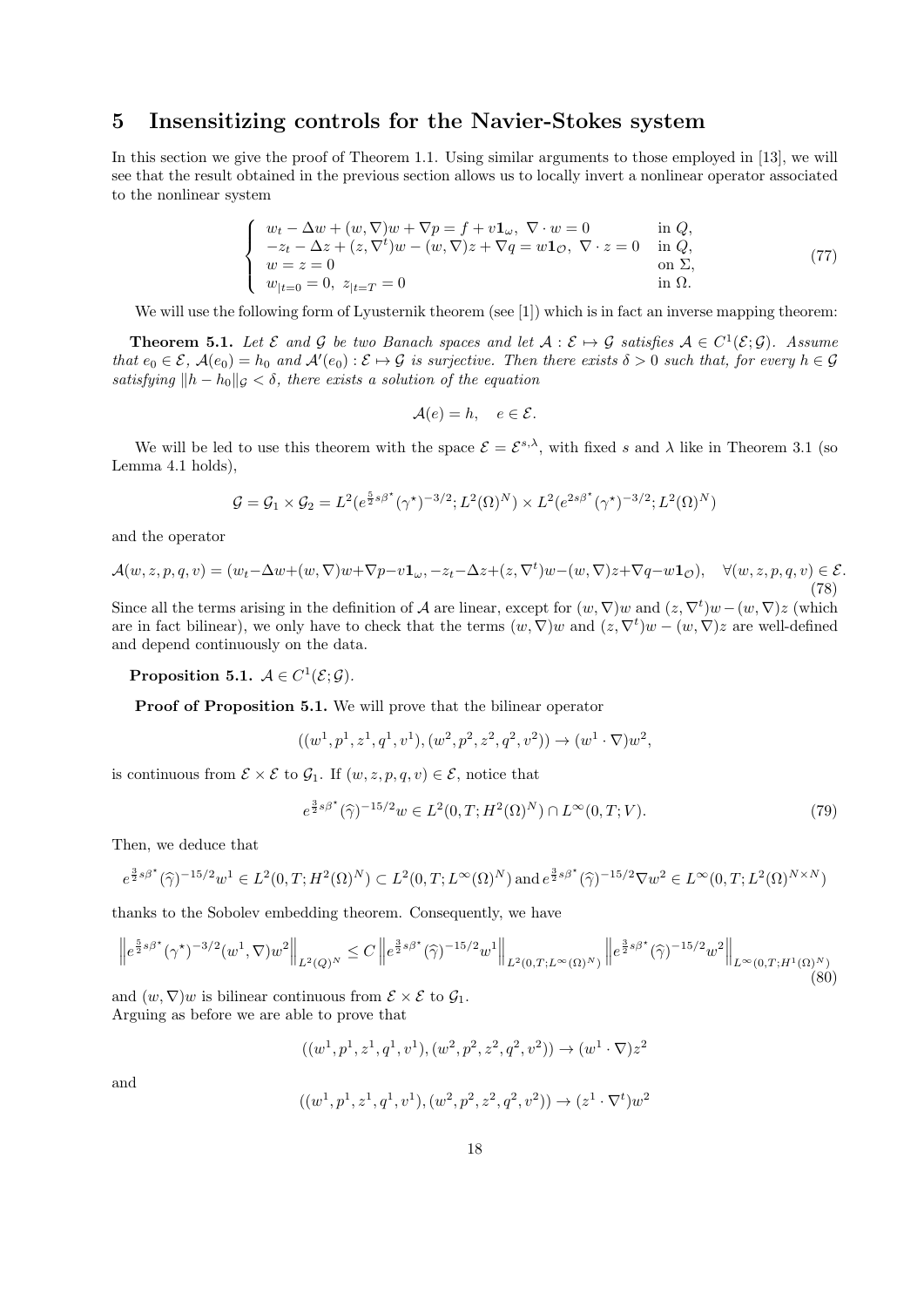### 5 Insensitizing controls for the Navier-Stokes system

In this section we give the proof of Theorem 1.1. Using similar arguments to those employed in [13], we will see that the result obtained in the previous section allows us to locally invert a nonlinear operator associated to the nonlinear system

$$
\begin{cases}\nw_t - \Delta w + (w, \nabla)w + \nabla p = f + v\mathbf{1}_\omega, \ \nabla \cdot w = 0 & \text{in } Q, \\
-z_t - \Delta z + (z, \nabla^t)w - (w, \nabla)z + \nabla q = w\mathbf{1}_\mathcal{O}, \ \nabla \cdot z = 0 & \text{in } Q, \\
w = z = 0 & \text{on } \Sigma, \\
w_{|t=0} = 0, \ z_{|t=T} = 0 & \text{in } \Omega.\n\end{cases}
$$
\n(77)

We will use the following form of Lyusternik theorem (see [1]) which is in fact an inverse mapping theorem:

**Theorem 5.1.** Let  $\mathcal{E}$  and  $\mathcal{G}$  be two Banach spaces and let  $\mathcal{A}: \mathcal{E} \mapsto \mathcal{G}$  satisfies  $\mathcal{A} \in C^1(\mathcal{E}; \mathcal{G})$ . Assume that  $e_0 \in \mathcal{E}$ ,  $\mathcal{A}(e_0) = h_0$  and  $\mathcal{A}'(e_0) : \mathcal{E} \mapsto \mathcal{G}$  is surjective. Then there exists  $\delta > 0$  such that, for every  $h \in \mathcal{G}$ satisfying  $||h - h_0||_{\mathcal{G}} < \delta$ , there exists a solution of the equation

$$
\mathcal{A}(e) = h, \quad e \in \mathcal{E}.
$$

We will be led to use this theorem with the space  $\mathcal{E} = \mathcal{E}^{s,\lambda}$ , with fixed s and  $\lambda$  like in Theorem 3.1 (so Lemma 4.1 holds),

$$
G = G_1 \times G_2 = L^2(e^{\frac{5}{2}s\beta^*}(\gamma^*)^{-3/2}; L^2(\Omega)^N) \times L^2(e^{2s\beta^*}(\gamma^*)^{-3/2}; L^2(\Omega)^N)
$$

and the operator

$$
\mathcal{A}(w,z,p,q,v) = (w_t - \Delta w + (w,\nabla)w + \nabla p - v\mathbf{1}_{\omega}, -z_t - \Delta z + (z,\nabla^t)w - (w,\nabla)z + \nabla q - w\mathbf{1}_{\mathcal{O}}), \quad \forall (w,z,p,q,v) \in \mathcal{E}.\tag{78}
$$

Since all the terms arising in the definition of A are linear, except for  $(w, \nabla)w$  and  $(z, \nabla^t)w-(w, \nabla)z$  (which are in fact bilinear), we only have to check that the terms  $(w, \nabla)w$  and  $(z, \nabla^t)w - (w, \nabla)z$  are well-defined and depend continuously on the data.

Proposition 5.1.  $\mathcal{A} \in C^1(\mathcal{E}; \mathcal{G})$ .

Proof of Proposition 5.1. We will prove that the bilinear operator

$$
((w^1, p^1, z^1, q^1, v^1), (w^2, p^2, z^2, q^2, v^2)) \rightarrow (w^1 \cdot \nabla) w^2,
$$

is continuous from  $\mathcal{E} \times \mathcal{E}$  to  $\mathcal{G}_1$ . If  $(w, z, p, q, v) \in \mathcal{E}$ , notice that

$$
e^{\frac{3}{2}s\beta^{\star}}(\widehat{\gamma})^{-15/2}w \in L^{2}(0,T;H^{2}(\Omega)^{N}) \cap L^{\infty}(0,T;V).
$$
\n(79)

Then, we deduce that

$$
e^{\frac{3}{2}s\beta^{\star}}(\hat{\gamma})^{-15/2}w^{1} \in L^{2}(0,T;H^{2}(\Omega)^{N}) \subset L^{2}(0,T;L^{\infty}(\Omega)^{N})
$$
 and  $e^{\frac{3}{2}s\beta^{\star}}(\hat{\gamma})^{-15/2}\nabla w^{2} \in L^{\infty}(0,T;L^{2}(\Omega)^{N\times N})$ 

thanks to the Sobolev embedding theorem. Consequently, we have

$$
\left\| e^{\frac{5}{2}s\beta^{\star}}(\gamma^{\star})^{-3/2}(w^1, \nabla)w^2 \right\|_{L^2(Q)^N} \leq C \left\| e^{\frac{3}{2}s\beta^{\star}}(\widehat{\gamma})^{-15/2}w^1 \right\|_{L^2(0,T;L^{\infty}(\Omega)^N)} \left\| e^{\frac{3}{2}s\beta^{\star}}(\widehat{\gamma})^{-15/2}w^2 \right\|_{L^{\infty}(0,T;H^1(\Omega)^N)}(80)
$$

and  $(w, \nabla)w$  is bilinear continuous from  $\mathcal{E} \times \mathcal{E}$  to  $\mathcal{G}_1$ . Arguing as before we are able to prove that

$$
((w^1, p^1, z^1, q^1, v^1), (w^2, p^2, z^2, q^2, v^2)) \to (w^1 \cdot \nabla) z^2
$$

and

$$
((w^1, p^1, z^1, q^1, v^1), (w^2, p^2, z^2, q^2, v^2)) \rightarrow (z^1 \cdot \nabla^t) w^2
$$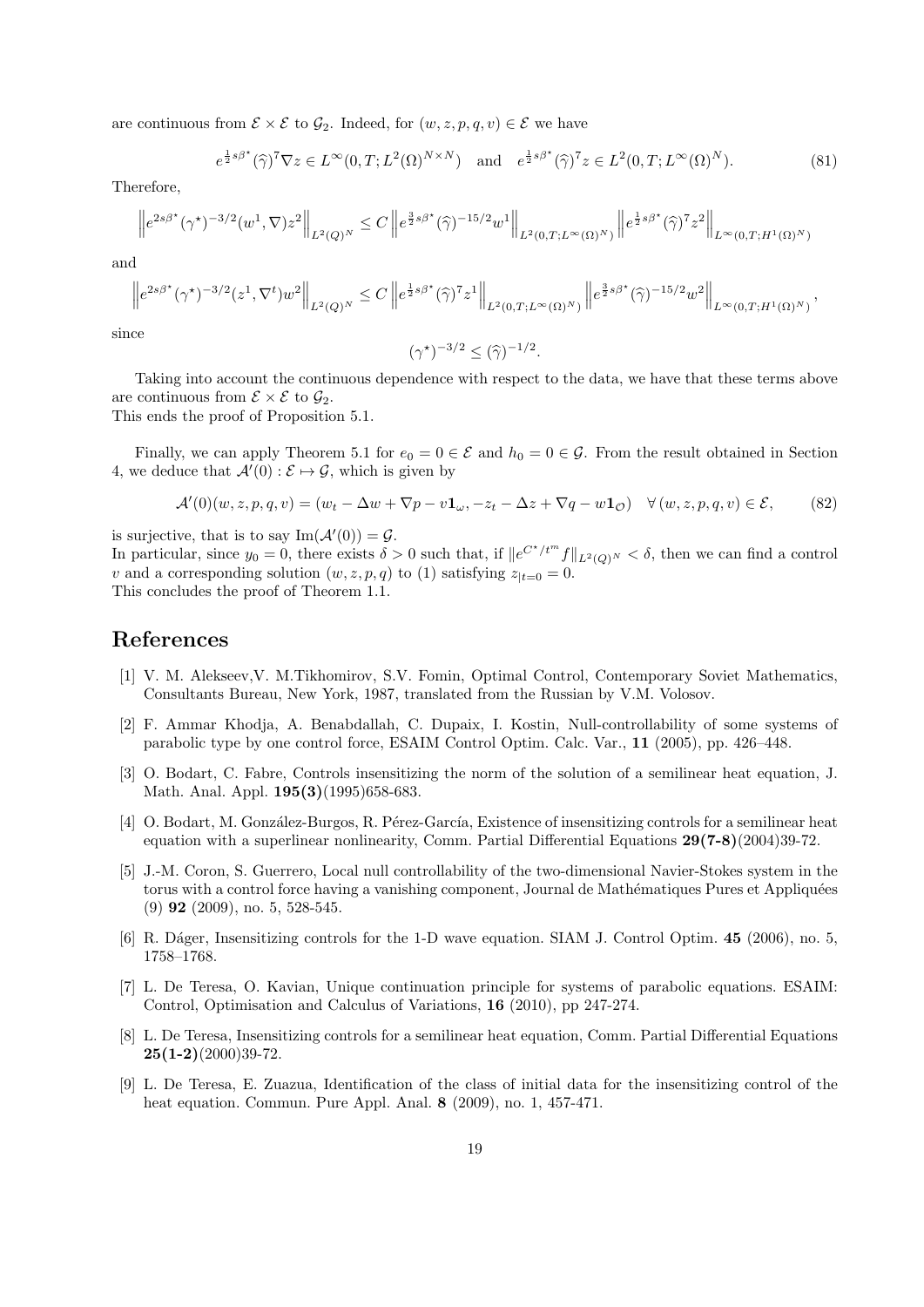are continuous from  $\mathcal{E} \times \mathcal{E}$  to  $\mathcal{G}_2$ . Indeed, for  $(w, z, p, q, v) \in \mathcal{E}$  we have

$$
e^{\frac{1}{2}s\beta^{\star}}(\widehat{\gamma})^{7}\nabla z \in L^{\infty}(0,T;L^{2}(\Omega)^{N\times N}) \quad \text{and} \quad e^{\frac{1}{2}s\beta^{\star}}(\widehat{\gamma})^{7}z \in L^{2}(0,T;L^{\infty}(\Omega)^{N}).\tag{81}
$$

Therefore,

e

$$
\left\|e^{2s\beta^{\star}}(\gamma^{\star})^{-3/2}(w^1,\nabla)z^2\right\|_{L^2(Q)^N} \leq C\left\|e^{\frac{3}{2}s\beta^{\star}}(\widehat{\gamma})^{-15/2}w^1\right\|_{L^2(0,T;L^{\infty}(\Omega)^N)}\left\|e^{\frac{1}{2}s\beta^{\star}}(\widehat{\gamma})^7z^2\right\|_{L^{\infty}(0,T;H^1(\Omega)^N)}
$$

and

$$
\left\|e^{2s\beta^{\star}}(\gamma^{\star})^{-3/2}(z^1,\nabla^t)w^2\right\|_{L^2(Q)^N}\leq C\left\|e^{\frac{1}{2}s\beta^{\star}}(\widehat{\gamma})^7z^1\right\|_{L^2(0,T;L^{\infty}(\Omega)^N)}\left\|e^{\frac{3}{2}s\beta^{\star}}(\widehat{\gamma})^{-15/2}w^2\right\|_{L^{\infty}(0,T;H^1(\Omega)^N)},
$$

since

$$
(\gamma^{\star})^{-3/2} \leq (\widehat{\gamma})^{-1/2}.
$$

Taking into account the continuous dependence with respect to the data, we have that these terms above are continuous from  $\mathcal{E} \times \mathcal{E}$  to  $\mathcal{G}_2$ .

This ends the proof of Proposition 5.1.

Finally, we can apply Theorem 5.1 for  $e_0 = 0 \in \mathcal{E}$  and  $h_0 = 0 \in \mathcal{G}$ . From the result obtained in Section 4, we deduce that  $\mathcal{A}'(0) : \mathcal{E} \mapsto \mathcal{G}$ , which is given by

$$
\mathcal{A}'(0)(w, z, p, q, v) = (w_t - \Delta w + \nabla p - v\mathbf{1}_{\omega}, -z_t - \Delta z + \nabla q - w\mathbf{1}_{\mathcal{O}}) \quad \forall (w, z, p, q, v) \in \mathcal{E},\tag{82}
$$

is surjective, that is to say  $\text{Im}(\mathcal{A}'(0)) = \mathcal{G}$ . In particular, since  $y_0 = 0$ , there exists  $\delta > 0$  such that, if  $||e^{C^{\star}/t^{m}}f||_{L^2(Q)^N} < \delta$ , then we can find a control v and a corresponding solution  $(w, z, p, q)$  to (1) satisfying  $z_{t=0} = 0$ . This concludes the proof of Theorem 1.1.

### References

- [1] V. M. Alekseev,V. M.Tikhomirov, S.V. Fomin, Optimal Control, Contemporary Soviet Mathematics, Consultants Bureau, New York, 1987, translated from the Russian by V.M. Volosov.
- [2] F. Ammar Khodja, A. Benabdallah, C. Dupaix, I. Kostin, Null-controllability of some systems of parabolic type by one control force, ESAIM Control Optim. Calc. Var., 11 (2005), pp. 426–448.
- [3] O. Bodart, C. Fabre, Controls insensitizing the norm of the solution of a semilinear heat equation, J. Math. Anal. Appl. **195(3)**(1995)658-683.
- [4] O. Bodart, M. González-Burgos, R. Pérez-García, Existence of insensitizing controls for a semilinear heat equation with a superlinear nonlinearity, Comm. Partial Differential Equations 29(7-8)(2004)39-72.
- [5] J.-M. Coron, S. Guerrero, Local null controllability of the two-dimensional Navier-Stokes system in the torus with a control force having a vanishing component, Journal de Mathématiques Pures et Appliquées (9) 92 (2009), no. 5, 528-545.
- [6] R. D´ager, Insensitizing controls for the 1-D wave equation. SIAM J. Control Optim. 45 (2006), no. 5, 1758–1768.
- [7] L. De Teresa, O. Kavian, Unique continuation principle for systems of parabolic equations. ESAIM: Control, Optimisation and Calculus of Variations, 16 (2010), pp 247-274.
- [8] L. De Teresa, Insensitizing controls for a semilinear heat equation, Comm. Partial Differential Equations  $25(1-2)(2000)39-72.$
- [9] L. De Teresa, E. Zuazua, Identification of the class of initial data for the insensitizing control of the heat equation. Commun. Pure Appl. Anal. 8 (2009), no. 1, 457-471.